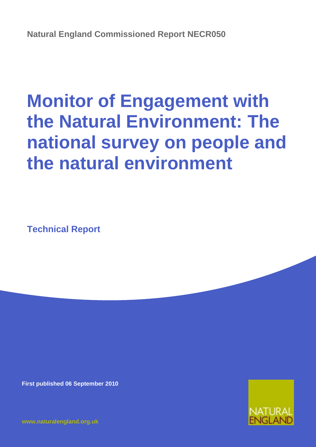# **Monitor of Engagement with the Natural Environment: The national survey on people and the natural environment**

**Technical Report**

**First published 06 September 2010**



**[www.naturalengland.org.uk](http://www.naturalengland.org.uk/)**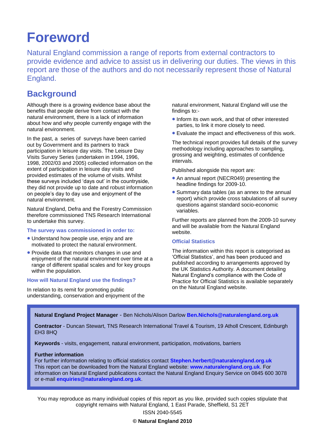# **Foreword**

Natural England commission a range of reports from external contractors to provide evidence and advice to assist us in delivering our duties. The views in this report are those of the authors and do not necessarily represent those of Natural England.

## **Background**

Although there is a growing evidence base about the benefits that people derive from contact with the natural environment, there is a lack of information about how and why people currently engage with the natural environment.

In the past, a series of surveys have been carried out by Government and its partners to track participation in leisure day visits. The Leisure Day Visits Survey Series (undertaken in 1994, 1996, 1998, 2002/03 and 2005) collected information on the extent of participation in leisure day visits and provided estimates of the volume of visits. Whilst these surveys included "days out" in the countryside, they did not provide up to date and robust information on people"s day to day use and enjoyment of the natural environment.

Natural England, Defra and the Forestry Commission therefore commissioned TNS Research International to undertake this survey.

#### **The survey was commissioned in order to:**

- Understand how people use, enjoy and are motivated to protect the natural environment.
- Provide data that monitors changes in use and enjoyment of the natural environment over time at a range of different spatial scales and for key groups within the population.

#### **How will Natural England use the findings?**

In relation to its remit for promoting public understanding, conservation and enjoyment of the natural environment, Natural England will use the findings to:-

- **.** Inform its own work, and that of other interested parties, to link it more closely to need.
- Evaluate the impact and effectiveness of this work.

The technical report provides full details of the survey methodology including approaches to sampling, grossing and weighting, estimates of confidence intervals.

Published alongside this report are:

- An annual report (NECR049) presenting the headline findings for 2009-10.
- Summary data tables (as an annex to the annual report) which provide cross tabulations of all survey questions against standard socio-economic variables.

Further reports are planned from the 2009-10 survey and will be available from the Natural England website.

### **Official Statistics**

The information within this report is categorised as "Official Statistics", and has been produced and published according to arrangements approved by the UK Statistics Authority. A document detailing Natural England"s compliance with the Code of Practice for Official Statistics is available separately on the Natural England website.

**Natural England Project Manager** - Ben Nichols/Alison Darlow **[Ben.Nichols@naturalengland.org.uk](mailto:Ben.Nichols@naturalengland.org.uk)**

**Contractor** - Duncan Stewart, TNS Research International Travel & Tourism, 19 Atholl Crescent, Edinburgh EH3 8HQ

**Keywords** - visits, engagement, natural environment, participation, motivations, barriers

#### **Further information**

For further information relating to official statistics contact **Stephen.herbert@naturalengland.org.uk** This report can be downloaded from the Natural England website: **[www.naturalengland.org.uk](http://www.naturalengland.org.uk/)**. For information on Natural England publications contact the Natural England Enquiry Service on 0845 600 3078 or e-mail **[enquiries@naturalengland.org.uk](mailto:enquiries@naturalengland.org.uk)**.

You may reproduce as many individual copies of this report as you like, provided such copies stipulate that copyright remains with Natural England, 1 East Parade, Sheffield, S1 2ET

ISSN 2040-5545

**© Natural England 2010**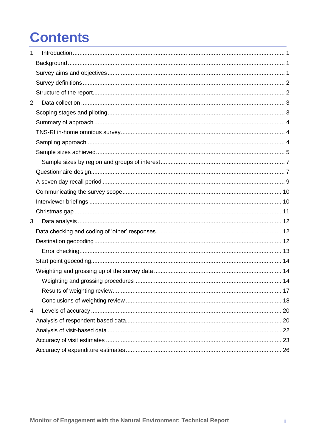# **Contents**

| 1              |  |
|----------------|--|
|                |  |
|                |  |
|                |  |
|                |  |
| $\overline{2}$ |  |
|                |  |
|                |  |
|                |  |
|                |  |
|                |  |
|                |  |
|                |  |
|                |  |
|                |  |
|                |  |
|                |  |
| 3              |  |
|                |  |
|                |  |
|                |  |
|                |  |
|                |  |
|                |  |
|                |  |
|                |  |
| 4              |  |
|                |  |
|                |  |
|                |  |
|                |  |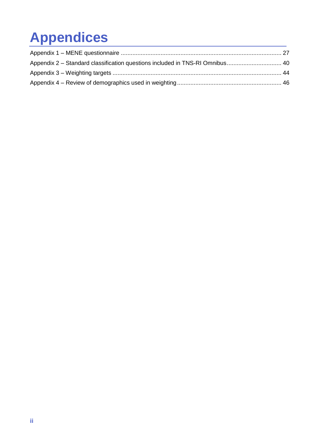# **Appendices**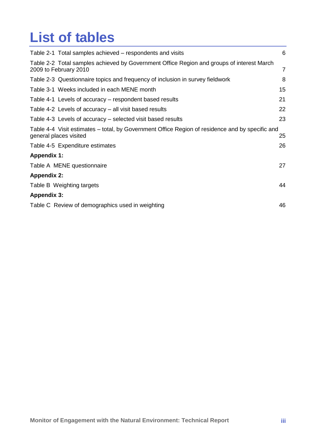# **List of tables**

| Table 2-1 Total samples achieved – respondents and visits                                                                 | 6  |
|---------------------------------------------------------------------------------------------------------------------------|----|
| Table 2-2 Total samples achieved by Government Office Region and groups of interest March<br>2009 to February 2010        | 7  |
| Table 2-3 Questionnaire topics and frequency of inclusion in survey fieldwork                                             | 8  |
| Table 3-1 Weeks included in each MENE month                                                                               | 15 |
| Table 4-1 Levels of accuracy – respondent based results                                                                   | 21 |
| Table 4-2 Levels of accuracy – all visit based results                                                                    | 22 |
| Table 4-3 Levels of accuracy – selected visit based results                                                               | 23 |
| Table 4-4 Visit estimates - total, by Government Office Region of residence and by specific and<br>general places visited | 25 |
| Table 4-5 Expenditure estimates                                                                                           | 26 |
| <b>Appendix 1:</b>                                                                                                        |    |
| Table A MENE questionnaire                                                                                                | 27 |
| <b>Appendix 2:</b>                                                                                                        |    |
| Table B Weighting targets                                                                                                 | 44 |
| <b>Appendix 3:</b>                                                                                                        |    |
| Table C Review of demographics used in weighting                                                                          | 46 |
|                                                                                                                           |    |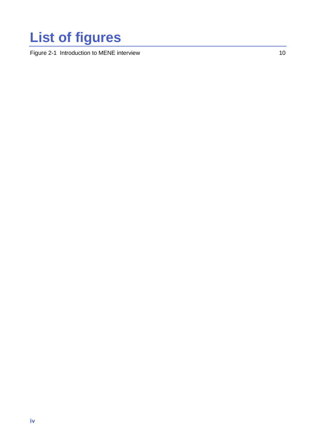# **List of figures**

[Figure 2-1 Introduction to MENE interview](#page-17-2) 10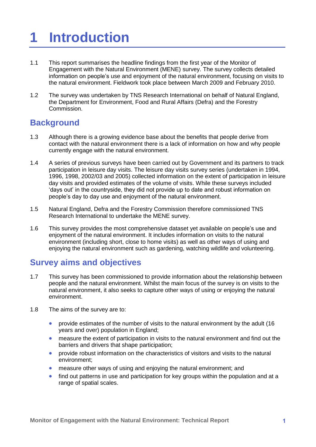# <span id="page-8-0"></span>**1 Introduction**

- 1.1 This report summarises the headline findings from the first year of the Monitor of Engagement with the Natural Environment (MENE) survey. The survey collects detailed information on people"s use and enjoyment of the natural environment, focusing on visits to the natural environment. Fieldwork took place between March 2009 and February 2010.
- 1.2 The survey was undertaken by TNS Research International on behalf of Natural England, the Department for Environment, Food and Rural Affairs (Defra) and the Forestry Commission.

## <span id="page-8-1"></span>**Background**

- 1.3 Although there is a growing evidence base about the benefits that people derive from contact with the natural environment there is a lack of information on how and why people currently engage with the natural environment.
- 1.4 A series of previous surveys have been carried out by Government and its partners to track participation in leisure day visits. The leisure day visits survey series (undertaken in 1994, 1996, 1998, 2002/03 and 2005) collected information on the extent of participation in leisure day visits and provided estimates of the volume of visits. While these surveys included "days out" in the countryside, they did not provide up to date and robust information on people"s day to day use and enjoyment of the natural environment.
- 1.5 Natural England, Defra and the Forestry Commission therefore commissioned TNS Research International to undertake the MENE survey.
- 1.6 This survey provides the most comprehensive dataset yet available on people"s use and enjoyment of the natural environment. It includes information on visits to the natural environment (including short, close to home visits) as well as other ways of using and enjoying the natural environment such as gardening, watching wildlife and volunteering.

## <span id="page-8-2"></span>**Survey aims and objectives**

- 1.7 This survey has been commissioned to provide information about the relationship between people and the natural environment. Whilst the main focus of the survey is on visits to the natural environment, it also seeks to capture other ways of using or enjoying the natural environment.
- 1.8 The aims of the survey are to:
	- **•** provide estimates of the number of visits to the natural environment by the adult (16 years and over) population in England;
	- measure the extent of participation in visits to the natural environment and find out the barriers and drivers that shape participation;
	- **•** provide robust information on the characteristics of visitors and visits to the natural environment;
	- measure other ways of using and enjoying the natural environment; and
	- find out patterns in use and participation for key groups within the population and at a range of spatial scales.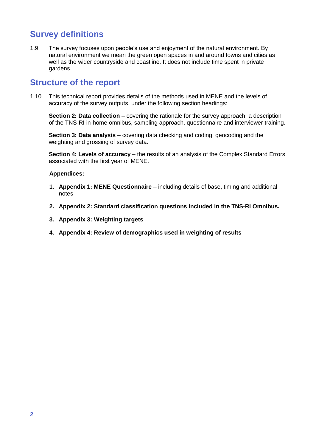# <span id="page-9-0"></span>**Survey definitions**

1.9 The survey focuses upon people"s use and enjoyment of the natural environment. By natural environment we mean the green open spaces in and around towns and cities as well as the wider countryside and coastline. It does not include time spent in private gardens.

## <span id="page-9-1"></span>**Structure of the report**

1.10 This technical report provides details of the methods used in MENE and the levels of accuracy of the survey outputs, under the following section headings:

**Section 2: Data collection** – covering the rationale for the survey approach, a description of the TNS-RI in-home omnibus, sampling approach, questionnaire and interviewer training.

**Section 3: Data analysis** – covering data checking and coding, geocoding and the weighting and grossing of survey data.

**Section 4: Levels of accuracy** – the results of an analysis of the Complex Standard Errors associated with the first year of MENE.

### **Appendices:**

- **1. Appendix 1: MENE Questionnaire** including details of base, timing and additional notes
- **2. Appendix 2: Standard classification questions included in the TNS-RI Omnibus.**
- **3. Appendix 3: Weighting targets**
- **4. Appendix 4: Review of demographics used in weighting of results**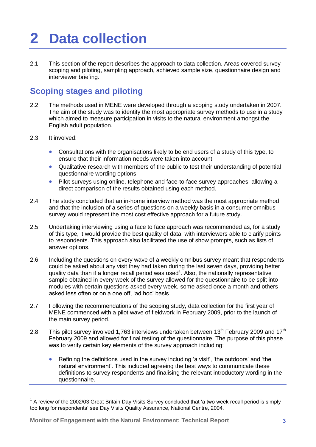# <span id="page-10-0"></span>**2 Data collection**

2.1 This section of the report describes the approach to data collection. Areas covered survey scoping and piloting, sampling approach, achieved sample size, questionnaire design and interviewer briefing.

## <span id="page-10-1"></span>**Scoping stages and piloting**

- 2.2 The methods used in MENE were developed through a scoping study undertaken in 2007. The aim of the study was to identify the most appropriate survey methods to use in a study which aimed to measure participation in visits to the natural environment amongst the English adult population.
- 2.3 It involved:
	- Consultations with the organisations likely to be end users of a study of this type, to ensure that their information needs were taken into account.
	- Qualitative research with members of the public to test their understanding of potential questionnaire wording options.
	- Pilot surveys using online, telephone and face-to-face survey approaches, allowing a direct comparison of the results obtained using each method.
- 2.4 The study concluded that an in-home interview method was the most appropriate method and that the inclusion of a series of questions on a weekly basis in a consumer omnibus survey would represent the most cost effective approach for a future study.
- 2.5 Undertaking interviewing using a face to face approach was recommended as, for a study of this type, it would provide the best quality of data, with interviewers able to clarify points to respondents. This approach also facilitated the use of show prompts, such as lists of answer options.
- 2.6 Including the questions on every wave of a weekly omnibus survey meant that respondents could be asked about any visit they had taken during the last seven days, providing better quality data than if a longer recall period was used<sup>1</sup>. Also, the nationally representative sample obtained in every week of the survey allowed for the questionnaire to be split into modules with certain questions asked every week, some asked once a month and others asked less often or on a one off, "ad hoc" basis.
- 2.7 Following the recommendations of the scoping study, data collection for the first year of MENE commenced with a pilot wave of fieldwork in February 2009, prior to the launch of the main survey period.
- 2.8 This pilot survey involved 1,763 interviews undertaken between  $13<sup>th</sup>$  February 2009 and  $17<sup>th</sup>$ February 2009 and allowed for final testing of the questionnaire. The purpose of this phase was to verify certain key elements of the survey approach including:
	- Refining the definitions used in the survey including 'a visit', 'the outdoors' and 'the natural environment". This included agreeing the best ways to communicate these definitions to survey respondents and finalising the relevant introductory wording in the questionnaire.

 $1$  A review of the 2002/03 Great Britain Day Visits Survey concluded that 'a two week recall period is simply too long for respondents" see Day Visits Quality Assurance, National Centre, 2004.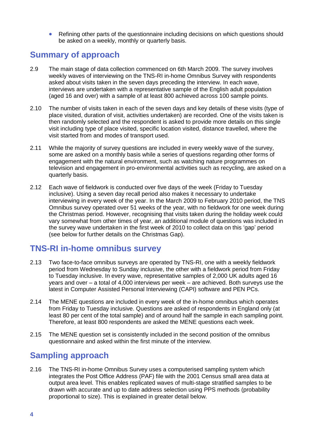Refining other parts of the questionnaire including decisions on which questions should be asked on a weekly, monthly or quarterly basis.

## <span id="page-11-0"></span>**Summary of approach**

- 2.9 The main stage of data collection commenced on 6th March 2009. The survey involves weekly waves of interviewing on the TNS-RI in-home Omnibus Survey with respondents asked about visits taken in the seven days preceding the interview. In each wave, interviews are undertaken with a representative sample of the English adult population (aged 16 and over) with a sample of at least 800 achieved across 100 sample points.
- 2.10 The number of visits taken in each of the seven days and key details of these visits (type of place visited, duration of visit, activities undertaken) are recorded. One of the visits taken is then randomly selected and the respondent is asked to provide more details on this single visit including type of place visited, specific location visited, distance travelled, where the visit started from and modes of transport used.
- 2.11 While the majority of survey questions are included in every weekly wave of the survey, some are asked on a monthly basis while a series of questions regarding other forms of engagement with the natural environment, such as watching nature programmes on television and engagement in pro-environmental activities such as recycling, are asked on a quarterly basis.
- 2.12 Each wave of fieldwork is conducted over five days of the week (Friday to Tuesday inclusive). Using a seven day recall period also makes it necessary to undertake interviewing in every week of the year. In the March 2009 to February 2010 period, the TNS Omnibus survey operated over 51 weeks of the year, with no fieldwork for one week during the Christmas period. However, recognising that visits taken during the holiday week could vary somewhat from other times of year, an additional module of questions was included in the survey wave undertaken in the first week of 2010 to collect data on this "gap" period (see below for further details on the Christmas Gap).

## <span id="page-11-1"></span>**TNS-RI in-home omnibus survey**

- 2.13 Two face-to-face omnibus surveys are operated by TNS-RI, one with a weekly fieldwork period from Wednesday to Sunday inclusive, the other with a fieldwork period from Friday to Tuesday inclusive. In every wave, representative samples of 2,000 UK adults aged 16 years and over – a total of 4,000 interviews per week – are achieved. Both surveys use the latest in Computer Assisted Personal Interviewing (CAPI) software and PEN PCs.
- 2.14 The MENE questions are included in every week of the in-home omnibus which operates from Friday to Tuesday inclusive. Questions are asked of respondents in England only (at least 80 per cent of the total sample) and of around half the sample in each sampling point. Therefore, at least 800 respondents are asked the MENE questions each week.
- 2.15 The MENE question set is consistently included in the second position of the omnibus questionnaire and asked within the first minute of the interview.

## <span id="page-11-2"></span>**Sampling approach**

2.16 The TNS-RI in-home Omnibus Survey uses a computerised sampling system which integrates the Post Office Address (PAF) file with the 2001 Census small area data at output area level. This enables replicated waves of multi-stage stratified samples to be drawn with accurate and up to date address selection using PPS methods (probability proportional to size). This is explained in greater detail below.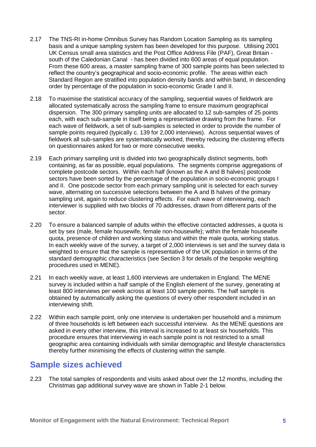- 2.17 The TNS-RI in-home Omnibus Survey has Random Location Sampling as its sampling basis and a unique sampling system has been developed for this purpose. Utilising 2001 UK Census small area statistics and the Post Office Address File (PAF), Great Britain south of the Caledonian Canal - has been divided into 600 areas of equal population. From these 600 areas, a master sampling frame of 300 sample points has been selected to reflect the country"s geographical and socio-economic profile. The areas within each Standard Region are stratified into population density bands and within band, in descending order by percentage of the population in socio-economic Grade I and II.
- 2.18 To maximise the statistical accuracy of the sampling, sequential waves of fieldwork are allocated systematically across the sampling frame to ensure maximum geographical dispersion. The 300 primary sampling units are allocated to 12 sub-samples of 25 points each, with each sub-sample in itself being a representative drawing from the frame. For each wave of fieldwork, a set of sub-samples is selected in order to provide the number of sample points required (typically c. 139 for 2,000 interviews). Across sequential waves of fieldwork all sub-samples are systematically worked, thereby reducing the clustering effects on questionnaires asked for two or more consecutive weeks.
- 2.19 Each primary sampling unit is divided into two geographically distinct segments, both containing, as far as possible, equal populations. The segments comprise aggregations of complete postcode sectors. Within each half (known as the A and B halves) postcode sectors have been sorted by the percentage of the population in socio-economic groups I and II. One postcode sector from each primary sampling unit is selected for each survey wave, alternating on successive selections between the A and B halves of the primary sampling unit, again to reduce clustering effects. For each wave of interviewing, each interviewer is supplied with two blocks of 70 addresses, drawn from different parts of the sector.
- 2.20 To ensure a balanced sample of adults within the effective contacted addresses, a quota is set by sex (male, female housewife, female non-housewife); within the female housewife quota, presence of children and working status and within the male quota, working status. In each weekly wave of the survey, a target of 2,000 interviews is set and the survey data is weighted to ensure that the sample is representative of the UK population in terms of the standard demographic characteristics (see Section 3 for details of the bespoke weighting procedures used in MENE).
- 2.21 In each weekly wave, at least 1,600 interviews are undertaken in England. The MENE survey is included within a half sample of the English element of the survey, generating at least 800 interviews per week across at least 100 sample points. The half sample is obtained by automatically asking the questions of every other respondent included in an interviewing shift.
- 2.22 Within each sample point, only one interview is undertaken per household and a minimum of three households is left between each successful interview. As the MENE questions are asked in every other interview, this interval is increased to at least six households. This procedure ensures that interviewing in each sample point is not restricted to a small geographic area containing individuals with similar demographic and lifestyle characteristics thereby further minimising the effects of clustering within the sample.

## <span id="page-12-0"></span>**Sample sizes achieved**

2.23 The total samples of respondents and visits asked about over the 12 months, including the Christmas gap additional survey wave are shown in Table 2-1 below.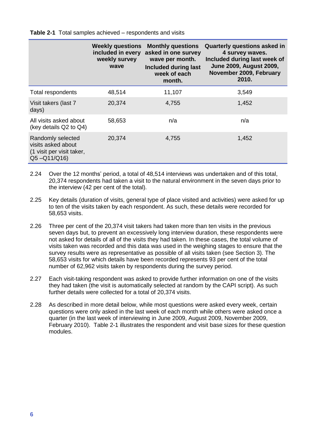<span id="page-13-0"></span>**Table 2-1** Total samples achieved – respondents and visits

|                                                                                        | <b>Weekly questions</b><br>included in every<br>weekly survey<br>wave | <b>Monthly questions</b><br>asked in one survey<br>wave per month.<br>Included during last<br>week of each<br>month. | <b>Quarterly questions asked in</b><br>4 survey waves.<br>Included during last week of<br><b>June 2009, August 2009,</b><br>November 2009, February<br>2010. |
|----------------------------------------------------------------------------------------|-----------------------------------------------------------------------|----------------------------------------------------------------------------------------------------------------------|--------------------------------------------------------------------------------------------------------------------------------------------------------------|
| Total respondents                                                                      | 48,514                                                                | 11,107                                                                                                               | 3,549                                                                                                                                                        |
| Visit takers (last 7<br>days)                                                          | 20,374                                                                | 4,755                                                                                                                | 1,452                                                                                                                                                        |
| All visits asked about<br>(key details Q2 to Q4)                                       | 58,653                                                                | n/a                                                                                                                  | n/a                                                                                                                                                          |
| Randomly selected<br>visits asked about<br>(1 visit per visit taker,<br>$Q5 - Q11/Q16$ | 20,374                                                                | 4,755                                                                                                                | 1,452                                                                                                                                                        |

- 2.24 Over the 12 months" period, a total of 48,514 interviews was undertaken and of this total, 20,374 respondents had taken a visit to the natural environment in the seven days prior to the interview (42 per cent of the total).
- 2.25 Key details (duration of visits, general type of place visited and activities) were asked for up to ten of the visits taken by each respondent. As such, these details were recorded for 58,653 visits.
- 2.26 Three per cent of the 20,374 visit takers had taken more than ten visits in the previous seven days but, to prevent an excessively long interview duration, these respondents were not asked for details of all of the visits they had taken. In these cases, the total volume of visits taken was recorded and this data was used in the weighing stages to ensure that the survey results were as representative as possible of all visits taken (see Section 3). The 58,653 visits for which details have been recorded represents 93 per cent of the total number of 62,962 visits taken by respondents during the survey period.
- 2.27 Each visit-taking respondent was asked to provide further information on one of the visits they had taken (the visit is automatically selected at random by the CAPI script). As such further details were collected for a total of 20,374 visits.
- 2.28 As described in more detail below, while most questions were asked every week, certain questions were only asked in the last week of each month while others were asked once a quarter (in the last week of interviewing in June 2009, August 2009, November 2009, February 2010). Table 2-1 illustrates the respondent and visit base sizes for these question modules.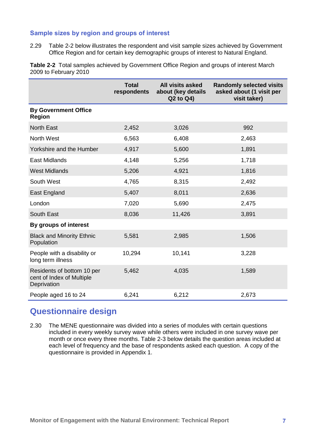## <span id="page-14-0"></span>**Sample sizes by region and groups of interest**

2.29 Table 2-2 below illustrates the respondent and visit sample sizes achieved by Government Office Region and for certain key demographic groups of interest to Natural England.

<span id="page-14-2"></span>**Table 2-2** Total samples achieved by Government Office Region and groups of interest March 2009 to February 2010

|                                                                        | <b>Total</b><br>respondents | <b>All visits asked</b><br>about (key details<br>Q2 to Q4) | <b>Randomly selected visits</b><br>asked about (1 visit per<br>visit taker) |
|------------------------------------------------------------------------|-----------------------------|------------------------------------------------------------|-----------------------------------------------------------------------------|
| <b>By Government Office</b><br><b>Region</b>                           |                             |                                                            |                                                                             |
| <b>North East</b>                                                      | 2,452                       | 3,026                                                      | 992                                                                         |
| North West                                                             | 6,563                       | 6,408                                                      | 2,463                                                                       |
| Yorkshire and the Humber                                               | 4,917                       | 5,600                                                      | 1,891                                                                       |
| East Midlands                                                          | 4,148                       | 5,256                                                      | 1,718                                                                       |
| <b>West Midlands</b>                                                   | 5,206                       | 4,921                                                      | 1,816                                                                       |
| South West                                                             | 4,765                       | 8,315                                                      | 2,492                                                                       |
| East England                                                           | 5,407                       | 8,011                                                      | 2,636                                                                       |
| London                                                                 | 7,020                       | 5,690                                                      | 2,475                                                                       |
| South East                                                             | 8,036                       | 11,426                                                     | 3,891                                                                       |
| By groups of interest                                                  |                             |                                                            |                                                                             |
| <b>Black and Minority Ethnic</b><br>Population                         | 5,581                       | 2,985                                                      | 1,506                                                                       |
| People with a disability or<br>long term illness                       | 10,294                      | 10,141                                                     | 3,228                                                                       |
| Residents of bottom 10 per<br>cent of Index of Multiple<br>Deprivation | 5,462                       | 4,035                                                      | 1,589                                                                       |
| People aged 16 to 24                                                   | 6,241                       | 6,212                                                      | 2,673                                                                       |

## <span id="page-14-1"></span>**Questionnaire design**

2.30 The MENE questionnaire was divided into a series of modules with certain questions included in every weekly survey wave while others were included in one survey wave per month or once every three months. Table 2-3 below details the question areas included at each level of frequency and the base of respondents asked each question. A copy of the questionnaire is provided in Appendix 1.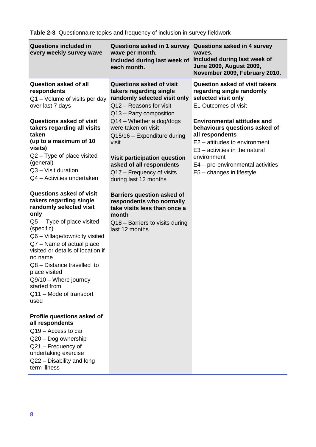<span id="page-15-0"></span>

| <b>Questions included in</b><br>every weekly survey wave                                                                                                                                                                                                                                                                                                                              | Questions asked in 1 survey<br>wave per month.<br>Included during last week of<br>each month.                                                                                                                      | <b>Questions asked in 4 survey</b><br>waves.<br>Included during last week of<br><b>June 2009, August 2009,</b><br>November 2009, February 2010.                                                                                              |
|---------------------------------------------------------------------------------------------------------------------------------------------------------------------------------------------------------------------------------------------------------------------------------------------------------------------------------------------------------------------------------------|--------------------------------------------------------------------------------------------------------------------------------------------------------------------------------------------------------------------|----------------------------------------------------------------------------------------------------------------------------------------------------------------------------------------------------------------------------------------------|
| <b>Question asked of all</b><br>respondents<br>$Q1 -$ Volume of visits per day<br>over last 7 days                                                                                                                                                                                                                                                                                    | <b>Questions asked of visit</b><br>takers regarding single<br>randomly selected visit only<br>Q12 - Reasons for visit<br>Q13 - Party composition                                                                   | <b>Question asked of visit takers</b><br>regarding single randomly<br>selected visit only<br>E1 Outcomes of visit                                                                                                                            |
| <b>Questions asked of visit</b><br>takers regarding all visits<br>taken<br>(up to a maximum of 10<br>visits)<br>$Q2 - Type$ of place visited<br>(general)<br>Q3 - Visit duration<br>Q4 - Activities undertaken                                                                                                                                                                        | $Q14 - Whether$ a dog/dogs<br>were taken on visit<br>Q15/16 - Expenditure during<br>visit<br><b>Visit participation question</b><br>asked of all respondents<br>Q17 - Frequency of visits<br>during last 12 months | <b>Environmental attitudes and</b><br>behaviours questions asked of<br>all respondents<br>E2 - attitudes to environment<br>E3 - activities in the natural<br>environment<br>E4 – pro-environmental activities<br>$E5$ – changes in lifestyle |
| <b>Questions asked of visit</b><br>takers regarding single<br>randomly selected visit<br>only<br>$Q5 - Type$ of place visited<br>(specific)<br>Q6 - Village/town/city visited<br>Q7 - Name of actual place<br>visited or details of location if<br>no name<br>Q8 - Distance travelled to<br>place visited<br>Q9/10 - Where journey<br>started from<br>Q11 - Mode of transport<br>used | <b>Barriers question asked of</b><br>respondents who normally<br>take visits less than once a<br>month<br>Q18 - Barriers to visits during<br>last 12 months                                                        |                                                                                                                                                                                                                                              |
| Profile questions asked of<br>all respondents<br>Q <sub>19</sub> - Access to car<br>Q20 - Dog ownership<br>Q21 - Frequency of<br>undertaking exercise<br>Q22 - Disability and long<br>term illness                                                                                                                                                                                    |                                                                                                                                                                                                                    |                                                                                                                                                                                                                                              |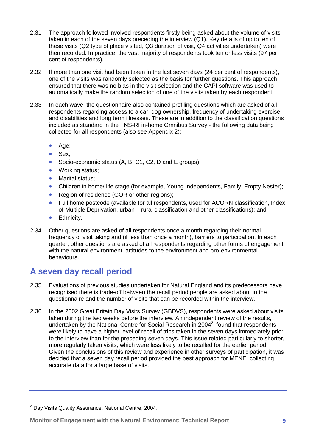- 2.31 The approach followed involved respondents firstly being asked about the volume of visits taken in each of the seven days preceding the interview (Q1). Key details of up to ten of these visits (Q2 type of place visited, Q3 duration of visit, Q4 activities undertaken) were then recorded. In practice, the vast majority of respondents took ten or less visits (97 per cent of respondents).
- 2.32 If more than one visit had been taken in the last seven days (24 per cent of respondents), one of the visits was randomly selected as the basis for further questions. This approach ensured that there was no bias in the visit selection and the CAPI software was used to automatically make the random selection of one of the visits taken by each respondent.
- 2.33 In each wave, the questionnaire also contained profiling questions which are asked of all respondents regarding access to a car, dog ownership, frequency of undertaking exercise and disabilities and long term illnesses. These are in addition to the classification questions included as standard in the TNS-RI in-home Omnibus Survey - the following data being collected for all respondents (also see Appendix 2):
	- Age;
	- Sex;
	- Socio-economic status (A, B, C1, C2, D and E groups);
	- Working status;
	- Marital status:
	- Children in home/ life stage (for example, Young Independents, Family, Empty Nester);
	- Region of residence (GOR or other regions);
	- Full home postcode (available for all respondents, used for ACORN classification, Index of Multiple Deprivation, urban – rural classification and other classifications); and
	- **•** Ethnicity.
- 2.34 Other questions are asked of all respondents once a month regarding their normal frequency of visit taking and (if less than once a month), barriers to participation. In each quarter, other questions are asked of all respondents regarding other forms of engagement with the natural environment, attitudes to the environment and pro-environmental behaviours.

## <span id="page-16-0"></span>**A seven day recall period**

- 2.35 Evaluations of previous studies undertaken for Natural England and its predecessors have recognised there is trade-off between the recall period people are asked about in the questionnaire and the number of visits that can be recorded within the interview.
- 2.36 In the 2002 Great Britain Day Visits Survey (GBDVS), respondents were asked about visits taken during the two weeks before the interview. An independent review of the results, undertaken by the National Centre for Social Research in 2004<sup>2</sup>, found that respondents were likely to have a higher level of recall of trips taken in the seven days immediately prior to the interview than for the preceding seven days. This issue related particularly to shorter, more regularly taken visits, which were less likely to be recalled for the earlier period. Given the conclusions of this review and experience in other surveys of participation, it was decided that a seven day recall period provided the best approach for MENE, collecting accurate data for a large base of visits.

 $2$  Day Visits Quality Assurance, National Centre, 2004.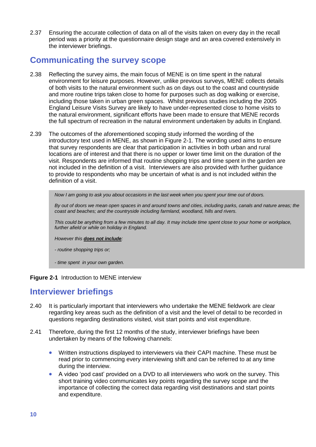2.37 Ensuring the accurate collection of data on all of the visits taken on every day in the recall period was a priority at the questionnaire design stage and an area covered extensively in the interviewer briefings.

## <span id="page-17-0"></span>**Communicating the survey scope**

- 2.38 Reflecting the survey aims, the main focus of MENE is on time spent in the natural environment for leisure purposes. However, unlike previous surveys, MENE collects details of both visits to the natural environment such as on days out to the coast and countryside and more routine trips taken close to home for purposes such as dog walking or exercise, including those taken in urban green spaces. Whilst previous studies including the 2005 England Leisure Visits Survey are likely to have under-represented close to home visits to the natural environment, significant efforts have been made to ensure that MENE records the full spectrum of recreation in the natural environment undertaken by adults in England.
- 2.39 The outcomes of the aforementioned scoping study informed the wording of the introductory text used in MENE, as shown in Figure 2-1. The wording used aims to ensure that survey respondents are clear that participation in activities in both urban and rural locations are of interest and that there is no upper or lower time limit on the duration of the visit. Respondents are informed that routine shopping trips and time spent in the garden are not included in the definition of a visit. Interviewers are also provided with further guidance to provide to respondents who may be uncertain of what is and is not included within the definition of a visit.

*Now I am going to ask you about occasions in the last week when you spent your time out of doors.* 

*By out of doors we mean open spaces in and around towns and cities, including parks, canals and nature areas; the coast and beaches; and the countryside including farmland, woodland, hills and rivers.* 

*This could be anything from a few minutes to all day. It may include time spent close to your home or workplace, further afield or while on holiday in England.* 

*However this does not include:*

*- routine shopping trips or;*

*- time spent in your own garden.*

#### <span id="page-17-2"></span>**Figure 2-1** Introduction to MENE interview

## <span id="page-17-1"></span>**Interviewer briefings**

- 2.40 It is particularly important that interviewers who undertake the MENE fieldwork are clear regarding key areas such as the definition of a visit and the level of detail to be recorded in questions regarding destinations visited, visit start points and visit expenditure.
- 2.41 Therefore, during the first 12 months of the study, interviewer briefings have been undertaken by means of the following channels:
	- Written instructions displayed to interviewers via their CAPI machine. These must be read prior to commencing every interviewing shift and can be referred to at any time during the interview.
	- A video "pod cast" provided on a DVD to all interviewers who work on the survey. This short training video communicates key points regarding the survey scope and the importance of collecting the correct data regarding visit destinations and start points and expenditure.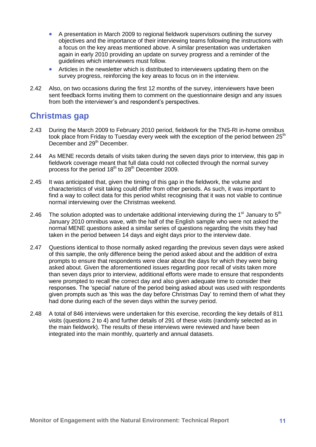- A presentation in March 2009 to regional fieldwork supervisors outlining the survey objectives and the importance of their interviewing teams following the instructions with a focus on the key areas mentioned above. A similar presentation was undertaken again in early 2010 providing an update on survey progress and a reminder of the guidelines which interviewers must follow.
- Articles in the newsletter which is distributed to interviewers updating them on the survey progress, reinforcing the key areas to focus on in the interview.
- 2.42 Also, on two occasions during the first 12 months of the survey, interviewers have been sent feedback forms inviting them to comment on the questionnaire design and any issues from both the interviewer's and respondent's perspectives.

## <span id="page-18-0"></span>**Christmas gap**

- 2.43 During the March 2009 to February 2010 period, fieldwork for the TNS-RI in-home omnibus took place from Friday to Tuesday every week with the exception of the period between  $25<sup>th</sup>$ December and 29<sup>th</sup> December.
- 2.44 As MENE records details of visits taken during the seven days prior to interview, this gap in fieldwork coverage meant that full data could not collected through the normal survey process for the period  $18<sup>th</sup>$  to  $28<sup>th</sup>$  December 2009.
- 2.45 It was anticipated that, given the timing of this gap in the fieldwork, the volume and characteristics of visit taking could differ from other periods. As such, it was important to find a way to collect data for this period whilst recognising that it was not viable to continue normal interviewing over the Christmas weekend.
- 2.46 The solution adopted was to undertake additional interviewing during the  $1<sup>st</sup>$  January to  $5<sup>th</sup>$ January 2010 omnibus wave, with the half of the English sample who were not asked the normal MENE questions asked a similar series of questions regarding the visits they had taken in the period between 14 days and eight days prior to the interview date.
- 2.47 Questions identical to those normally asked regarding the previous seven days were asked of this sample, the only difference being the period asked about and the addition of extra prompts to ensure that respondents were clear about the days for which they were being asked about. Given the aforementioned issues regarding poor recall of visits taken more than seven days prior to interview, additional efforts were made to ensure that respondents were prompted to recall the correct day and also given adequate time to consider their responses. The "special" nature of the period being asked about was used with respondents given prompts such as "this was the day before Christmas Day" to remind them of what they had done during each of the seven days within the survey period.
- 2.48 A total of 846 interviews were undertaken for this exercise, recording the key details of 811 visits (questions 2 to 4) and further details of 291 of these visits (randomly selected as in the main fieldwork). The results of these interviews were reviewed and have been integrated into the main monthly, quarterly and annual datasets.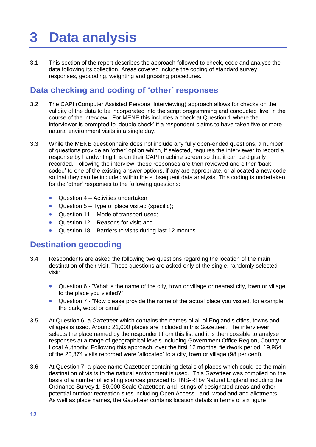# <span id="page-19-0"></span>**3 Data analysis**

3.1 This section of the report describes the approach followed to check, code and analyse the data following its collection. Areas covered include the coding of standard survey responses, geocoding, weighting and grossing procedures.

## <span id="page-19-1"></span>**Data checking and coding of 'other' responses**

- 3.2 The CAPI (Computer Assisted Personal Interviewing) approach allows for checks on the validity of the data to be incorporated into the script programming and conducted "live" in the course of the interview. For MENE this includes a check at Question 1 where the interviewer is prompted to "double check" if a respondent claims to have taken five or more natural environment visits in a single day.
- 3.3 While the MENE questionnaire does not include any fully open-ended questions, a number of questions provide an "other" option which, if selected, requires the interviewer to record a response by handwriting this on their CAPI machine screen so that it can be digitally recorded. Following the interview, these responses are then reviewed and either "back coded" to one of the existing answer options, if any are appropriate, or allocated a new code so that they can be included within the subsequent data analysis. This coding is undertaken for the 'other' responses to the following questions:
	- Question 4 Activities undertaken;
	- Question  $5 Type$  of place visited (specific);
	- Question 11 Mode of transport used;
	- Question 12 Reasons for visit; and
	- Question 18 Barriers to visits during last 12 months.

## <span id="page-19-2"></span>**Destination geocoding**

- 3.4 Respondents are asked the following two questions regarding the location of the main destination of their visit. These questions are asked only of the single, randomly selected visit:
	- Question 6 "What is the name of the city, town or village or nearest city, town or village to the place you visited?"
	- Question 7 "Now please provide the name of the actual place you visited, for example the park, wood or canal".
- 3.5 At Question 6, a Gazetteer which contains the names of all of England"s cities, towns and villages is used. Around 21,000 places are included in this Gazetteer. The interviewer selects the place named by the respondent from this list and it is then possible to analyse responses at a range of geographical levels including Government Office Region, County or Local Authority. Following this approach, over the first 12 months" fieldwork period, 19,964 of the 20,374 visits recorded were "allocated" to a city, town or village (98 per cent).
- 3.6 At Question 7, a place name Gazetteer containing details of places which could be the main destination of visits to the natural environment is used. This Gazetteer was compiled on the basis of a number of existing sources provided to TNS-RI by Natural England including the Ordnance Survey 1: 50,000 Scale Gazetteer, and listings of designated areas and other potential outdoor recreation sites including Open Access Land, woodland and allotments. As well as place names, the Gazetteer contains location details in terms of six figure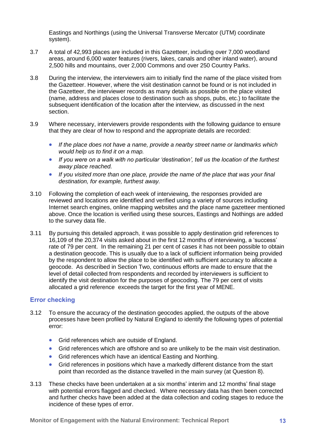Eastings and Northings (using the Universal Transverse Mercator (UTM) coordinate system).

- 3.7 A total of 42,993 places are included in this Gazetteer, including over 7,000 woodland areas, around 6,000 water features (rivers, lakes, canals and other inland water), around 2,500 hills and mountains, over 2,000 Commons and over 250 Country Parks.
- 3.8 During the interview, the interviewers aim to initially find the name of the place visited from the Gazetteer. However, where the visit destination cannot be found or is not included in the Gazetteer, the interviewer records as many details as possible on the place visited (name, address and places close to destination such as shops, pubs, etc.) to facilitate the subsequent identification of the location after the interview, as discussed in the next section.
- 3.9 Where necessary, interviewers provide respondents with the following guidance to ensure that they are clear of how to respond and the appropriate details are recorded:
	- *If the place does not have a name, provide a nearby street name or landmarks which would help us to find it on a map.*
	- *If you were on a walk with no particular 'destination', tell us the location of the furthest away place reached.*
	- *If you visited more than one place, provide the name of the place that was your final destination, for example, furthest away.*
- 3.10 Following the completion of each week of interviewing, the responses provided are reviewed and locations are identified and verified using a variety of sources including Internet search engines, online mapping websites and the place name gazetteer mentioned above. Once the location is verified using these sources, Eastings and Nothings are added to the survey data file.
- 3.11 By pursuing this detailed approach, it was possible to apply destination grid references to 16,109 of the 20,374 visits asked about in the first 12 months of interviewing, a "success" rate of 79 per cent. In the remaining 21 per cent of cases it has not been possible to obtain a destination geocode. This is usually due to a lack of sufficient information being provided by the respondent to allow the place to be identified with sufficient accuracy to allocate a geocode. As described in Section Two, continuous efforts are made to ensure that the level of detail collected from respondents and recorded by interviewers is sufficient to identify the visit destination for the purposes of geocoding. The 79 per cent of visits allocated a grid reference exceeds the target for the first year of MENE.

## <span id="page-20-0"></span>**Error checking**

- 3.12 To ensure the accuracy of the destination geocodes applied, the outputs of the above processes have been profiled by Natural England to identify the following types of potential error:
	- **Grid references which are outside of England.**
	- Grid references which are offshore and so are unlikely to be the main visit destination.
	- **Grid references which have an identical Easting and Northing.**
	- Grid references in positions which have a markedly different distance from the start point than recorded as the distance travelled in the main survey (at Question 8).
- 3.13 These checks have been undertaken at a six months" interim and 12 months" final stage with potential errors flagged and checked. Where necessary data has then been corrected and further checks have been added at the data collection and coding stages to reduce the incidence of these types of error.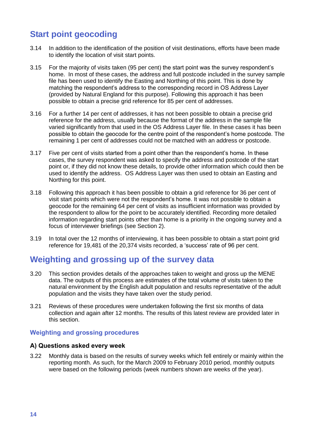## <span id="page-21-0"></span>**Start point geocoding**

- 3.14 In addition to the identification of the position of visit destinations, efforts have been made to identify the location of visit start points.
- 3.15 For the majority of visits taken (95 per cent) the start point was the survey respondent"s home. In most of these cases, the address and full postcode included in the survey sample file has been used to identify the Easting and Northing of this point. This is done by matching the respondent"s address to the corresponding record in OS Address Layer (provided by Natural England for this purpose). Following this approach it has been possible to obtain a precise grid reference for 85 per cent of addresses.
- 3.16 For a further 14 per cent of addresses, it has not been possible to obtain a precise grid reference for the address, usually because the format of the address in the sample file varied significantly from that used in the OS Address Layer file. In these cases it has been possible to obtain the geocode for the centre point of the respondent"s home postcode. The remaining 1 per cent of addresses could not be matched with an address or postcode.
- 3.17 Five per cent of visits started from a point other than the respondent"s home. In these cases, the survey respondent was asked to specify the address and postcode of the start point or, if they did not know these details, to provide other information which could then be used to identify the address. OS Address Layer was then used to obtain an Easting and Northing for this point.
- 3.18 Following this approach it has been possible to obtain a grid reference for 36 per cent of visit start points which were not the respondent"s home. It was not possible to obtain a geocode for the remaining 64 per cent of visits as insufficient information was provided by the respondent to allow for the point to be accurately identified. Recording more detailed information regarding start points other than home is a priority in the ongoing survey and a focus of interviewer briefings (see Section 2).
- 3.19 In total over the 12 months of interviewing, it has been possible to obtain a start point grid reference for 19,481 of the 20,374 visits recorded, a "success" rate of 96 per cent.

## <span id="page-21-1"></span>**Weighting and grossing up of the survey data**

- 3.20 This section provides details of the approaches taken to weight and gross up the MENE data. The outputs of this process are estimates of the total volume of visits taken to the natural environment by the English adult population and results representative of the adult population and the visits they have taken over the study period.
- 3.21 Reviews of these procedures were undertaken following the first six months of data collection and again after 12 months. The results of this latest review are provided later in this section.

## <span id="page-21-2"></span>**Weighting and grossing procedures**

### **A) Questions asked every week**

3.22 Monthly data is based on the results of survey weeks which fell entirely or mainly within the reporting month. As such, for the March 2009 to February 2010 period, monthly outputs were based on the following periods (week numbers shown are weeks of the year).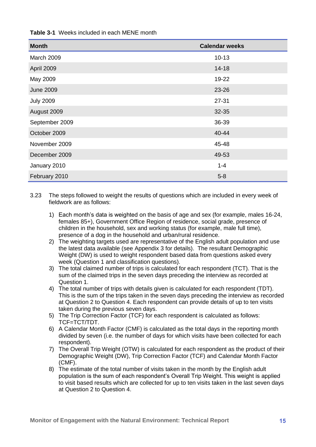| <b>Month</b>     | <b>Calendar weeks</b> |
|------------------|-----------------------|
| March 2009       | $10 - 13$             |
| April 2009       | $14 - 18$             |
| May 2009         | 19-22                 |
| <b>June 2009</b> | 23-26                 |
| <b>July 2009</b> | $27 - 31$             |
| August 2009      | 32-35                 |
| September 2009   | 36-39                 |
| October 2009     | 40-44                 |
| November 2009    | 45-48                 |
| December 2009    | 49-53                 |
| January 2010     | $1 - 4$               |
| February 2010    | $5 - 8$               |

### <span id="page-22-0"></span>**Table 3-1** Weeks included in each MENE month

3.23 The steps followed to weight the results of questions which are included in every week of fieldwork are as follows:

- 1) Each month"s data is weighted on the basis of age and sex (for example, males 16-24, females 85+), Government Office Region of residence, social grade, presence of children in the household, sex and working status (for example, male full time), presence of a dog in the household and urban/rural residence.
- 2) The weighting targets used are representative of the English adult population and use the latest data available (see Appendix 3 for details). The resultant Demographic Weight (DW) is used to weight respondent based data from questions asked every week (Question 1 and classification questions).
- 3) The total claimed number of trips is calculated for each respondent (TCT). That is the sum of the claimed trips in the seven days preceding the interview as recorded at Question 1.
- 4) The total number of trips with details given is calculated for each respondent (TDT). This is the sum of the trips taken in the seven days preceding the interview as recorded at Question 2 to Question 4. Each respondent can provide details of up to ten visits taken during the previous seven days.
- 5) The Trip Correction Factor (TCF) for each respondent is calculated as follows: TCF=TCT/TDT.
- 6) A Calendar Month Factor (CMF) is calculated as the total days in the reporting month divided by seven (i.e. the number of days for which visits have been collected for each respondent).
- 7) The Overall Trip Weight (OTW) is calculated for each respondent as the product of their Demographic Weight (DW), Trip Correction Factor (TCF) and Calendar Month Factor (CMF).
- 8) The estimate of the total number of visits taken in the month by the English adult population is the sum of each respondent"s Overall Trip Weight. This weight is applied to visit based results which are collected for up to ten visits taken in the last seven days at Question 2 to Question 4.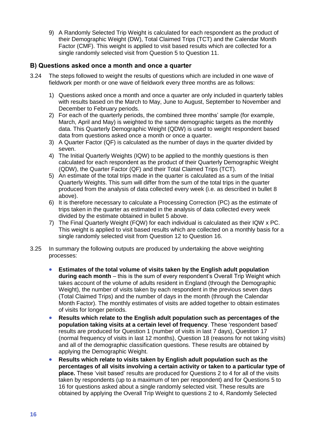9) A Randomly Selected Trip Weight is calculated for each respondent as the product of their Demographic Weight (DW), Total Claimed Trips (TCT) and the Calendar Month Factor (CMF). This weight is applied to visit based results which are collected for a single randomly selected visit from Question 5 to Question 11.

### **B) Questions asked once a month and once a quarter**

- 3.24 The steps followed to weight the results of questions which are included in one wave of fieldwork per month or one wave of fieldwork every three months are as follows:
	- 1) Questions asked once a month and once a quarter are only included in quarterly tables with results based on the March to May, June to August, September to November and December to February periods.
	- 2) For each of the quarterly periods, the combined three months' sample (for example, March, April and May) is weighted to the same demographic targets as the monthly data. This Quarterly Demographic Weight (QDW) is used to weight respondent based data from questions asked once a month or once a quarter.
	- 3) A Quarter Factor (QF) is calculated as the number of days in the quarter divided by seven.
	- 4) The Initial Quarterly Weights (IQW) to be applied to the monthly questions is then calculated for each respondent as the product of their Quarterly Demographic Weight (QDW), the Quarter Factor (QF) and their Total Claimed Trips (TCT).
	- 5) An estimate of the total trips made in the quarter is calculated as a sum of the Initial Quarterly Weights. This sum will differ from the sum of the total trips in the quarter produced from the analysis of data collected every week (i.e. as described in bullet 8 above).
	- 6) It is therefore necessary to calculate a Processing Correction (PC) as the estimate of trips taken in the quarter as estimated in the analysis of data collected every week divided by the estimate obtained in bullet 5 above.
	- 7) The Final Quarterly Weight (FQW) for each individual is calculated as their IQW x PC. This weight is applied to visit based results which are collected on a monthly basis for a single randomly selected visit from Question 12 to Question 16.
- 3.25 In summary the following outputs are produced by undertaking the above weighting processes:
	- **Estimates of the total volume of visits taken by the English adult population during each month** – this is the sum of every respondent"s Overall Trip Weight which takes account of the volume of adults resident in England (through the Demographic Weight), the number of visits taken by each respondent in the previous seven days (Total Claimed Trips) and the number of days in the month (through the Calendar Month Factor). The monthly estimates of visits are added together to obtain estimates of visits for longer periods.
	- **Results which relate to the English adult population such as percentages of the population taking visits at a certain level of frequency**. These "respondent based" results are produced for Question 1 (number of visits in last 7 days), Question 17 (normal frequency of visits in last 12 months), Question 18 (reasons for not taking visits) and all of the demographic classification questions. These results are obtained by applying the Demographic Weight.
	- **Results which relate to visits taken by English adult population such as the percentages of all visits involving a certain activity or taken to a particular type of place.** These "visit based" results are produced for Questions 2 to 4 for all of the visits taken by respondents (up to a maximum of ten per respondent) and for Questions 5 to 16 for questions asked about a single randomly selected visit. These results are obtained by applying the Overall Trip Weight to questions 2 to 4, Randomly Selected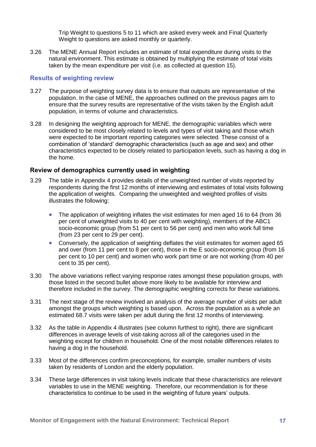Trip Weight to questions 5 to 11 which are asked every week and Final Quarterly Weight to questions are asked monthly or quarterly.

3.26 The MENE Annual Report includes an estimate of total expenditure during visits to the natural environment. This estimate is obtained by multiplying the estimate of total visits taken by the mean expenditure per visit (i.e. as collected at question 15).

### <span id="page-24-0"></span>**Results of weighting review**

- 3.27 The purpose of weighting survey data is to ensure that outputs are representative of the population. In the case of MENE, the approaches outlined on the previous pages aim to ensure that the survey results are representative of the visits taken by the English adult population, in terms of volume and characteristics.
- 3.28 In designing the weighting approach for MENE, the demographic variables which were considered to be most closely related to levels and types of visit taking and those which were expected to be important reporting categories were selected. These consist of a combination of "standard" demographic characteristics (such as age and sex) and other characteristics expected to be closely related to participation levels, such as having a dog in the home.

### **Review of demographics currently used in weighting**

- 3.29 The table in Appendix 4 provides details of the unweighted number of visits reported by respondents during the first 12 months of interviewing and estimates of total visits following the application of weights. Comparing the unweighted and weighted profiles of visits illustrates the following:
	- The application of weighting inflates the visit estimates for men aged 16 to 64 (from 36 per cent of unweighted visits to 40 per cent with weighting), members of the ABC1 socio-economic group (from 51 per cent to 56 per cent) and men who work full time (from 23 per cent to 29 per cent).
	- Conversely, the application of weighting deflates the visit estimates for women aged 65 and over (from 11 per cent to 8 per cent), those in the E socio-economic group (from 16 per cent to 10 per cent) and women who work part time or are not working (from 40 per cent to 35 per cent).
- 3.30 The above variations reflect varying response rates amongst these population groups, with those listed in the second bullet above more likely to be available for interview and therefore included in the survey. The demographic weighting corrects for these variations.
- 3.31 The next stage of the review involved an analysis of the average number of visits per adult amongst the groups which weighting is based upon. Across the population as a whole an estimated 68.7 visits were taken per adult during the first 12 months of interviewing.
- 3.32 As the table in Appendix 4 illustrates (see column furthest to right), there are significant differences in average levels of visit-taking across all of the categories used in the weighting except for children in household. One of the most notable differences relates to having a dog in the household.
- 3.33 Most of the differences confirm preconceptions, for example, smaller numbers of visits taken by residents of London and the elderly population.
- 3.34 These large differences in visit taking levels indicate that these characteristics are relevant variables to use in the MENE weighting. Therefore, our recommendation is for these characteristics to continue to be used in the weighting of future years" outputs.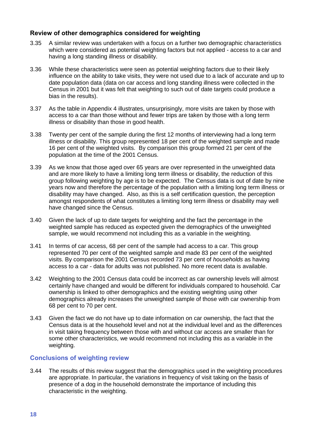### **Review of other demographics considered for weighting**

- 3.35 A similar review was undertaken with a focus on a further two demographic characteristics which were considered as potential weighting factors but not applied - access to a car and having a long standing illness or disability.
- 3.36 While these characteristics were seen as potential weighting factors due to their likely influence on the ability to take visits, they were not used due to a lack of accurate and up to date population data (data on car access and long standing illness were collected in the Census in 2001 but it was felt that weighting to such out of date targets could produce a bias in the results).
- 3.37 As the table in Appendix 4 illustrates, unsurprisingly, more visits are taken by those with access to a car than those without and fewer trips are taken by those with a long term illness or disability than those in good health.
- 3.38 Twenty per cent of the sample during the first 12 months of interviewing had a long term illness or disability. This group represented 18 per cent of the weighted sample and made 16 per cent of the weighted visits. By comparison this group formed 21 per cent of the population at the time of the 2001 Census.
- 3.39 As we know that those aged over 65 years are over represented in the unweighted data and are more likely to have a limiting long term illness or disability, the reduction of this group following weighting by age is to be expected. The Census data is out of date by nine years now and therefore the percentage of the population with a limiting long term illness or disability may have changed. Also, as this is a self certification question, the perception amongst respondents of what constitutes a limiting long term illness or disability may well have changed since the Census.
- 3.40 Given the lack of up to date targets for weighting and the fact the percentage in the weighted sample has reduced as expected given the demographics of the unweighted sample, we would recommend not including this as a variable in the weighting.
- 3.41 In terms of car access, 68 per cent of the sample had access to a car. This group represented 70 per cent of the weighted sample and made 83 per cent of the weighted visits. By comparison the 2001 Census recorded 73 per cent of *households* as having access to a car - data for adults was not published. No more recent data is available.
- 3.42 Weighting to the 2001 Census data could be incorrect as car ownership levels will almost certainly have changed and would be different for individuals compared to household. Car ownership is linked to other demographics and the existing weighting using other demographics already increases the unweighted sample of those with car ownership from 68 per cent to 70 per cent.
- 3.43 Given the fact we do not have up to date information on car ownership, the fact that the Census data is at the household level and not at the individual level and as the differences in visit taking frequency between those with and without car access are smaller than for some other characteristics, we would recommend not including this as a variable in the weighting.

### <span id="page-25-0"></span>**Conclusions of weighting review**

3.44 The results of this review suggest that the demographics used in the weighting procedures are appropriate. In particular, the variations in frequency of visit taking on the basis of presence of a dog in the household demonstrate the importance of including this characteristic in the weighting.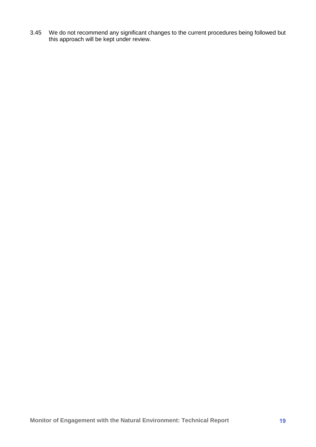3.45 We do not recommend any significant changes to the current procedures being followed but this approach will be kept under review.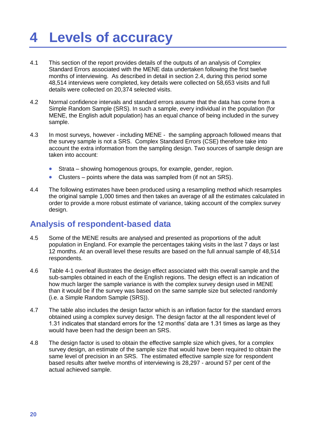# <span id="page-27-0"></span>**4 Levels of accuracy**

- 4.1 This section of the report provides details of the outputs of an analysis of Complex Standard Errors associated with the MENE data undertaken following the first twelve months of interviewing. As described in detail in section 2.4, during this period some 48,514 interviews were completed, key details were collected on 58,653 visits and full details were collected on 20,374 selected visits.
- 4.2 Normal confidence intervals and standard errors assume that the data has come from a Simple Random Sample (SRS). In such a sample, every individual in the population (for MENE, the English adult population) has an equal chance of being included in the survey sample.
- 4.3 In most surveys, however including MENE the sampling approach followed means that the survey sample is not a SRS. Complex Standard Errors (CSE) therefore take into account the extra information from the sampling design. Two sources of sample design are taken into account:
	- Strata showing homogenous groups, for example, gender, region.
	- Clusters points where the data was sampled from (if not an SRS).
- 4.4 The following estimates have been produced using a resampling method which resamples the original sample 1,000 times and then takes an average of all the estimates calculated in order to provide a more robust estimate of variance, taking account of the complex survey design.

## <span id="page-27-1"></span>**Analysis of respondent-based data**

- 4.5 Some of the MENE results are analysed and presented as proportions of the adult population in England. For example the percentages taking visits in the last 7 days or last 12 months. At an overall level these results are based on the full annual sample of 48,514 respondents.
- 4.6 Table 4-1 overleaf illustrates the design effect associated with this overall sample and the sub-samples obtained in each of the English regions. The design effect is an indication of how much larger the sample variance is with the complex survey design used in MENE than it would be if the survey was based on the same sample size but selected randomly (i.e. a Simple Random Sample (SRS)).
- 4.7 The table also includes the design factor which is an inflation factor for the standard errors obtained using a complex survey design. The design factor at the all respondent level of 1.31 indicates that standard errors for the 12 months" data are 1.31 times as large as they would have been had the design been an SRS.
- 4.8 The design factor is used to obtain the effective sample size which gives, for a complex survey design, an estimate of the sample size that would have been required to obtain the same level of precision in an SRS. The estimated effective sample size for respondent based results after twelve months of interviewing is 28,297 - around 57 per cent of the actual achieved sample.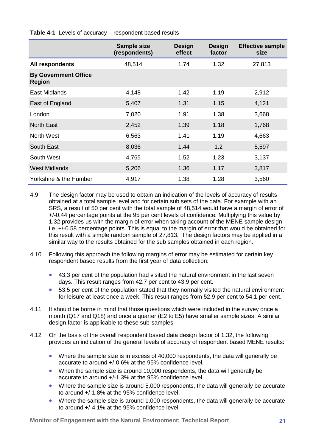|                                              | <b>Sample size</b><br>(respondents) | <b>Design</b><br>effect | <b>Design</b><br>factor | <b>Effective sample</b><br>size |
|----------------------------------------------|-------------------------------------|-------------------------|-------------------------|---------------------------------|
| All respondents                              | 48,514                              | 1.74                    | 1.32                    | 27,813                          |
| <b>By Government Office</b><br><b>Region</b> |                                     |                         |                         |                                 |
| East Midlands                                | 4,148                               | 1.42                    | 1.19                    | 2,912                           |
| East of England                              | 5,407                               | 1.31                    | 1.15                    | 4,121                           |
| London                                       | 7,020                               | 1.91                    | 1.38                    | 3,668                           |
| <b>North East</b>                            | 2,452                               | 1.39                    | 1.18                    | 1,768                           |
| <b>North West</b>                            | 6,563                               | 1.41                    | 1.19                    | 4,663                           |
| South East                                   | 8,036                               | 1.44                    | 1.2                     | 5,597                           |
| South West                                   | 4,765                               | 1.52                    | 1.23                    | 3,137                           |
| <b>West Midlands</b>                         | 5,206                               | 1.36                    | 1.17                    | 3,817                           |
| Yorkshire & the Humber                       | 4,917                               | 1.38                    | 1.28                    | 3,560                           |

<span id="page-28-0"></span>**Table 4-1** Levels of accuracy – respondent based results

- 4.9 The design factor may be used to obtain an indication of the levels of accuracy of results obtained at a total sample level and for certain sub sets of the data. For example with an SRS, a result of 50 per cent with the total sample of 48,514 would have a margin of error of +/-0.44 percentage points at the 95 per cent levels of confidence. Multiplying this value by 1.32 provides us with the margin of error when taking account of the MENE sample design i.e. +/-0.58 percentage points. This is equal to the margin of error that would be obtained for this result with a simple random sample of 27,813. The design factors may be applied in a similar way to the results obtained for the sub samples obtained in each region.
- 4.10 Following this approach the following margins of error may be estimated for certain key respondent based results from the first year of data collection:
	- 43.3 per cent of the population had visited the natural environment in the last seven days. This result ranges from 42.7 per cent to 43.9 per cent.
	- 53.5 per cent of the population stated that they normally visited the natural environment for leisure at least once a week. This result ranges from 52.9 per cent to 54.1 per cent.
- 4.11 It should be borne in mind that those questions which were included in the survey once a month (Q17 and Q18) and once a quarter (E2 to E5) have smaller sample sizes. A similar design factor is applicable to these sub-samples.
- 4.12 On the basis of the overall respondent based data design factor of 1.32, the following provides an indication of the general levels of accuracy of respondent based MENE results:
	- Where the sample size is in excess of 40,000 respondents, the data will generally be accurate to around +/-0.6% at the 95% confidence level.
	- When the sample size is around 10,000 respondents, the data will generally be accurate to around +/-1.3% at the 95% confidence level.
	- Where the sample size is around 5,000 respondents, the data will generally be accurate to around +/-1.8% at the 95% confidence level.
	- Where the sample size is around 1,000 respondents, the data will generally be accurate to around +/-4.1% at the 95% confidence level.

**Monitor of Engagement with the Natural Environment: Technical Report 21**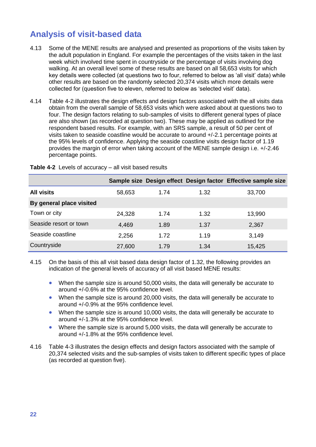# <span id="page-29-0"></span>**Analysis of visit-based data**

- 4.13 Some of the MENE results are analysed and presented as proportions of the visits taken by the adult population in England. For example the percentages of the visits taken in the last week which involved time spent in countryside or the percentage of visits involving dog walking. At an overall level some of these results are based on all 58,653 visits for which key details were collected (at questions two to four, referred to below as "all visit" data) while other results are based on the randomly selected 20,374 visits which more details were collected for (question five to eleven, referred to below as "selected visit" data).
- 4.14 Table 4-2 illustrates the design effects and design factors associated with the all visits data obtain from the overall sample of 58,653 visits which were asked about at questions two to four. The design factors relating to sub-samples of visits to different general types of place are also shown (as recorded at question two). These may be applied as outlined for the respondent based results. For example, with an SRS sample, a result of 50 per cent of visits taken to seaside coastline would be accurate to around +/-2.1 percentage points at the 95% levels of confidence. Applying the seaside coastline visits design factor of 1.19 provides the margin of error when taking account of the MENE sample design i.e. +/-2.46 percentage points.

|                          |        |      |      | Sample size Design effect Design factor Effective sample size |
|--------------------------|--------|------|------|---------------------------------------------------------------|
| <b>All visits</b>        | 58,653 | 1.74 | 1.32 | 33,700                                                        |
| By general place visited |        |      |      |                                                               |
| Town or city             | 24,328 | 1.74 | 1.32 | 13,990                                                        |
| Seaside resort or town   | 4,469  | 1.89 | 1.37 | 2,367                                                         |
| Seaside coastline        | 2,256  | 1.72 | 1.19 | 3,149                                                         |
| Countryside              | 27,600 | 1.79 | 1.34 | 15,425                                                        |

<span id="page-29-1"></span>**Table 4-2** Levels of accuracy – all visit based results

4.15 On the basis of this all visit based data design factor of 1.32, the following provides an indication of the general levels of accuracy of all visit based MENE results:

- When the sample size is around 50,000 visits, the data will generally be accurate to around +/-0.6% at the 95% confidence level.
- When the sample size is around 20,000 visits, the data will generally be accurate to around +/-0.9% at the 95% confidence level.
- When the sample size is around 10,000 visits, the data will generally be accurate to around +/-1.3% at the 95% confidence level.
- Where the sample size is around 5,000 visits, the data will generally be accurate to around +/-1.8% at the 95% confidence level.
- 4.16 Table 4-3 illustrates the design effects and design factors associated with the sample of 20,374 selected visits and the sub-samples of visits taken to different specific types of place (as recorded at question five).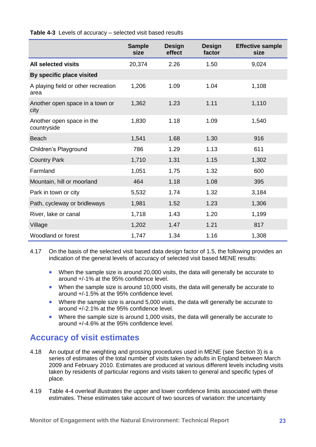<span id="page-30-1"></span>**Table 4-3** Levels of accuracy – selected visit based results

|                                             | <b>Sample</b><br>size | <b>Design</b><br>effect | <b>Design</b><br>factor | <b>Effective sample</b><br>size |
|---------------------------------------------|-----------------------|-------------------------|-------------------------|---------------------------------|
| <b>All selected visits</b>                  | 20,374                | 2.26                    | 1.50                    | 9,024                           |
| By specific place visited                   |                       |                         |                         |                                 |
| A playing field or other recreation<br>area | 1,206                 | 1.09                    | 1.04                    | 1,108                           |
| Another open space in a town or<br>city     | 1,362                 | 1.23                    | 1.11                    | 1,110                           |
| Another open space in the<br>countryside    | 1,830                 | 1.18                    | 1.09                    | 1,540                           |
| <b>Beach</b>                                | 1,541                 | 1.68                    | 1.30                    | 916                             |
| Children's Playground                       | 786                   | 1.29                    | 1.13                    | 611                             |
| <b>Country Park</b>                         | 1,710                 | 1.31                    | 1.15                    | 1,302                           |
| Farmland                                    | 1,051                 | 1.75                    | 1.32                    | 600                             |
| Mountain, hill or moorland                  | 464                   | 1.18                    | 1.08                    | 395                             |
| Park in town or city                        | 5,532                 | 1.74                    | 1.32                    | 3,184                           |
| Path, cycleway or bridleways                | 1,981                 | 1.52                    | 1.23                    | 1,306                           |
| River, lake or canal                        | 1,718                 | 1.43                    | 1.20                    | 1,199                           |
| Village                                     | 1,202                 | 1.47                    | 1.21                    | 817                             |
| Woodland or forest                          | 1,747                 | 1.34                    | 1.16                    | 1,308                           |

4.17 On the basis of the selected visit based data design factor of 1.5, the following provides an indication of the general levels of accuracy of selected visit based MENE results:

- When the sample size is around 20,000 visits, the data will generally be accurate to around +/-1% at the 95% confidence level.
- When the sample size is around 10,000 visits, the data will generally be accurate to around +/-1.5% at the 95% confidence level.
- Where the sample size is around 5,000 visits, the data will generally be accurate to around +/-2.1% at the 95% confidence level.
- Where the sample size is around 1,000 visits, the data will generally be accurate to around +/-4.6% at the 95% confidence level.

## <span id="page-30-0"></span>**Accuracy of visit estimates**

- 4.18 An output of the weighting and grossing procedures used in MENE (see Section 3) is a series of estimates of the total number of visits taken by adults in England between March 2009 and February 2010. Estimates are produced at various different levels including visits taken by residents of particular regions and visits taken to general and specific types of place.
- 4.19 Table 4-4 overleaf illustrates the upper and lower confidence limits associated with these estimates. These estimates take account of two sources of variation: the uncertainty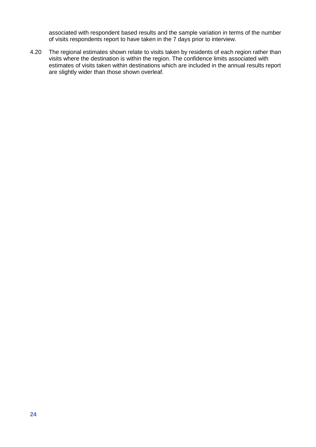associated with respondent based results and the sample variation in terms of the number of visits respondents report to have taken in the 7 days prior to interview.

4.20 The regional estimates shown relate to visits taken by residents of each region rather than visits where the destination is within the region. The confidence limits associated with estimates of visits taken within destinations which are included in the annual results report are slightly wider than those shown overleaf.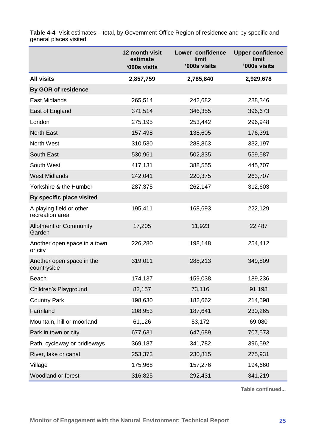<span id="page-32-0"></span>**Table 4-4** Visit estimates – total, by Government Office Region of residence and by specific and general places visited

|                                             | 12 month visit<br>estimate<br>'000s visits | Lower confidence<br>limit<br>'000s visits | <b>Upper confidence</b><br>limit<br>'000s visits |
|---------------------------------------------|--------------------------------------------|-------------------------------------------|--------------------------------------------------|
| <b>All visits</b>                           | 2,857,759                                  | 2,785,840                                 | 2,929,678                                        |
| <b>By GOR of residence</b>                  |                                            |                                           |                                                  |
| <b>East Midlands</b>                        | 265,514                                    | 242,682                                   | 288,346                                          |
| East of England                             | 371,514                                    | 346,355                                   | 396,673                                          |
| London                                      | 275,195                                    | 253,442                                   | 296,948                                          |
| <b>North East</b>                           | 157,498                                    | 138,605                                   | 176,391                                          |
| North West                                  | 310,530                                    | 288,863                                   | 332,197                                          |
| South East                                  | 530,961                                    | 502,335                                   | 559,587                                          |
| South West                                  | 417,131                                    | 388,555                                   | 445,707                                          |
| <b>West Midlands</b>                        | 242,041                                    | 220,375                                   | 263,707                                          |
| Yorkshire & the Humber                      | 287,375                                    | 262,147                                   | 312,603                                          |
| By specific place visited                   |                                            |                                           |                                                  |
| A playing field or other<br>recreation area | 195,411                                    | 168,693                                   | 222,129                                          |
| <b>Allotment or Community</b><br>Garden     | 17,205                                     | 11,923                                    | 22,487                                           |
| Another open space in a town<br>or city     | 226,280                                    | 198,148                                   | 254,412                                          |
| Another open space in the<br>countryside    | 319,011                                    | 288,213                                   | 349,809                                          |
| <b>Beach</b>                                | 174,137                                    | 159,038                                   | 189,236                                          |
| Children's Playground                       | 82,157                                     | 73,116                                    | 91,198                                           |
| <b>Country Park</b>                         | 198,630                                    | 182,662                                   | 214,598                                          |
| Farmland                                    | 208,953                                    | 187,641                                   | 230,265                                          |
| Mountain, hill or moorland                  | 61,126                                     | 53,172                                    | 69,080                                           |
| Park in town or city                        | 677,631                                    | 647,689                                   | 707,573                                          |
| Path, cycleway or bridleways                | 369,187                                    | 341,782                                   | 396,592                                          |
| River, lake or canal                        | 253,373                                    | 230,815                                   | 275,931                                          |
| Village                                     | 175,968                                    | 157,276                                   | 194,660                                          |
| Woodland or forest                          | 316,825                                    | 292,431                                   | 341,219                                          |

**Table continued...**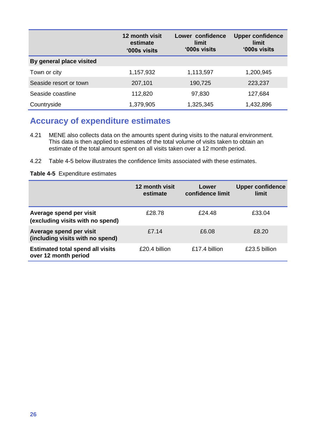|                          | 12 month visit<br>estimate<br>'000s visits | Lower confidence<br>limit<br>'000s visits | <b>Upper confidence</b><br>limit<br>'000s visits |
|--------------------------|--------------------------------------------|-------------------------------------------|--------------------------------------------------|
| By general place visited |                                            |                                           |                                                  |
| Town or city             | 1,157,932                                  | 1,113,597                                 | 1,200,945                                        |
| Seaside resort or town   | 207,101                                    | 190,725                                   | 223,237                                          |
| Seaside coastline        | 112,820                                    | 97,830                                    | 127,684                                          |
| Countryside              | 1,379,905                                  | 1,325,345                                 | 1,432,896                                        |

## <span id="page-33-0"></span>**Accuracy of expenditure estimates**

- 4.21 MENE also collects data on the amounts spent during visits to the natural environment. This data is then applied to estimates of the total volume of visits taken to obtain an estimate of the total amount spent on all visits taken over a 12 month period.
- 4.22 Table 4-5 below illustrates the confidence limits associated with these estimates.

<span id="page-33-1"></span>**Table 4-5** Expenditure estimates

|                                                                 | 12 month visit<br>estimate | Lower<br>confidence limit | <b>Upper confidence</b><br>limit |
|-----------------------------------------------------------------|----------------------------|---------------------------|----------------------------------|
| Average spend per visit<br>(excluding visits with no spend)     | £28.78                     | £24.48                    | £33.04                           |
| Average spend per visit<br>(including visits with no spend)     | £7.14                      | £6.08                     | £8.20                            |
| <b>Estimated total spend all visits</b><br>over 12 month period | £20.4 billion              | £17.4 billion             | £23.5 billion                    |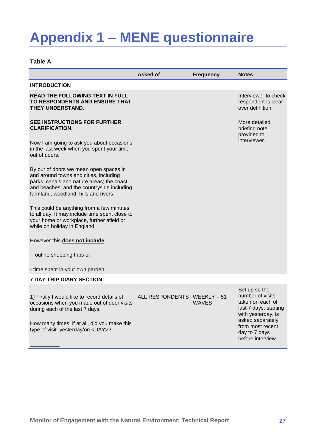# <span id="page-34-0"></span>**Appendix 1 – MENE questionnaire**

### <span id="page-34-1"></span>**Table A**

|                                                                                                                                                                                                                      | <b>Asked of</b>             | <b>Frequency</b> | <b>Notes</b>                                                                                                              |
|----------------------------------------------------------------------------------------------------------------------------------------------------------------------------------------------------------------------|-----------------------------|------------------|---------------------------------------------------------------------------------------------------------------------------|
| <b>INTRODUCTION</b>                                                                                                                                                                                                  |                             |                  |                                                                                                                           |
| <b>READ THE FOLLOWING TEXT IN FULL</b><br>TO RESPONDENTS AND ENSURE THAT<br>THEY UNDERSTAND.                                                                                                                         |                             |                  | Interviewer to check<br>respondent is clear<br>over definition.                                                           |
| SEE INSTRUCTIONS FOR FURTHER<br><b>CLARIFICATION.</b>                                                                                                                                                                |                             |                  | More detailed<br>briefing note<br>provided to                                                                             |
| Now I am going to ask you about occasions<br>in the last week when you spent your time<br>out of doors.                                                                                                              |                             |                  | interviewer.                                                                                                              |
| By out of doors we mean open spaces in<br>and around towns and cities, including<br>parks, canals and nature areas; the coast<br>and beaches; and the countryside including<br>farmland, woodland, hills and rivers. |                             |                  |                                                                                                                           |
| This could be anything from a few minutes<br>to all day. It may include time spent close to<br>your home or workplace, further afield or<br>while on holiday in England.                                             |                             |                  |                                                                                                                           |
| However this does not include:                                                                                                                                                                                       |                             |                  |                                                                                                                           |
| - routine shopping trips or;                                                                                                                                                                                         |                             |                  |                                                                                                                           |
| - time spent in your own garden.                                                                                                                                                                                     |                             |                  |                                                                                                                           |
| <b>7 DAY TRIP DIARY SECTION</b>                                                                                                                                                                                      |                             |                  |                                                                                                                           |
| 1) Firstly I would like to record details of<br>occasions when you made out of door visits<br>during each of the last 7 days.                                                                                        | ALL RESPONDENTS WEEKLY - 51 | <b>WAVES</b>     | Set up so the<br>number of visits<br>taken on each of<br>last 7 days, starting<br>with yesterday, is<br>asked separately, |
| How many times, if at all, did you make this<br>type of visit yesterday/on <day>?</day>                                                                                                                              |                             |                  | from most recent<br>day to 7 days<br>before interview.                                                                    |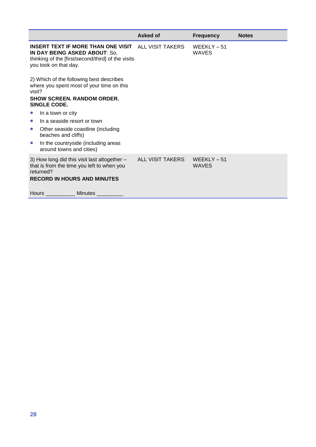|                                                                                                                                                                                                                                                                                                                                                                    | Asked of         | <b>Frequency</b>              | <b>Notes</b> |
|--------------------------------------------------------------------------------------------------------------------------------------------------------------------------------------------------------------------------------------------------------------------------------------------------------------------------------------------------------------------|------------------|-------------------------------|--------------|
| <b>INSERT TEXT IF MORE THAN ONE VISIT</b> ALL VISIT TAKERS<br>IN DAY BEING ASKED ABOUT: So,<br>thinking of the [first/second/third] of the visits<br>you took on that day.                                                                                                                                                                                         |                  | $WEEKLY - 51$<br><b>WAVES</b> |              |
| 2) Which of the following best describes<br>where you spent most of your time on this<br>visit?<br><b>SHOW SCREEN, RANDOM ORDER.</b><br>SINGLE CODE.<br>In a town or city<br>In a seaside resort or town<br>$\bullet$<br>Other seaside coastline (including<br>$\bullet$<br>beaches and cliffs)<br>In the countryside (including areas<br>around towns and cities) |                  |                               |              |
| 3) How long did this visit last altogether -<br>that is from the time you left to when you<br>returned?<br><b>RECORD IN HOURS AND MINUTES</b><br>Hours<br><b>Minutes</b>                                                                                                                                                                                           | ALL VISIT TAKERS | $WEEKLY - 51$<br><b>WAVES</b> |              |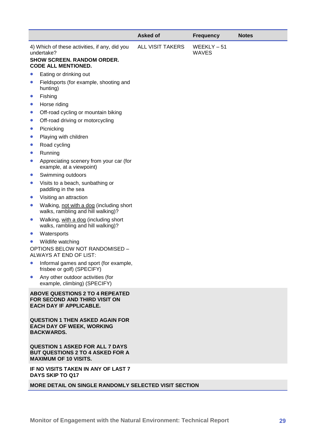|           |                                                                                                                                | <b>Asked of</b>         | <b>Frequency</b>              | <b>Notes</b> |
|-----------|--------------------------------------------------------------------------------------------------------------------------------|-------------------------|-------------------------------|--------------|
|           | 4) Which of these activities, if any, did you<br>undertake?<br><b>SHOW SCREEN. RANDOM ORDER.</b><br><b>CODE ALL MENTIONED.</b> | <b>ALL VISIT TAKERS</b> | $WEEKLY - 51$<br><b>WAVES</b> |              |
|           | Eating or drinking out                                                                                                         |                         |                               |              |
| $\bullet$ | Fieldsports (for example, shooting and<br>hunting)                                                                             |                         |                               |              |
| $\bullet$ | Fishing                                                                                                                        |                         |                               |              |
| $\bullet$ | Horse riding                                                                                                                   |                         |                               |              |
| $\bullet$ | Off-road cycling or mountain biking                                                                                            |                         |                               |              |
| $\bullet$ | Off-road driving or motorcycling                                                                                               |                         |                               |              |
| $\bullet$ | Picnicking                                                                                                                     |                         |                               |              |
| $\bullet$ | Playing with children                                                                                                          |                         |                               |              |
| $\bullet$ | Road cycling                                                                                                                   |                         |                               |              |
| $\bullet$ | Running                                                                                                                        |                         |                               |              |
| $\bullet$ | Appreciating scenery from your car (for<br>example, at a viewpoint)                                                            |                         |                               |              |
| $\bullet$ | Swimming outdoors                                                                                                              |                         |                               |              |
| $\bullet$ | Visits to a beach, sunbathing or<br>paddling in the sea                                                                        |                         |                               |              |
| $\bullet$ | Visiting an attraction                                                                                                         |                         |                               |              |
| $\bullet$ | Walking, not with a dog (including short<br>walks, rambling and hill walking)?                                                 |                         |                               |              |
| $\bullet$ | Walking, with a dog (including short<br>walks, rambling and hill walking)?                                                     |                         |                               |              |
| $\bullet$ | Watersports                                                                                                                    |                         |                               |              |
|           | Wildlife watching                                                                                                              |                         |                               |              |
|           | OPTIONS BELOW NOT RANDOMISED -<br>ALWAYS AT END OF LIST:                                                                       |                         |                               |              |
|           | Informal games and sport (for example,<br>frisbee or golf) (SPECIFY)                                                           |                         |                               |              |
| $\bullet$ | Any other outdoor activities (for<br>example, climbing) (SPECIFY)                                                              |                         |                               |              |
|           | <b>ABOVE QUESTIONS 2 TO 4 REPEATED</b><br>FOR SECOND AND THIRD VISIT ON<br><b>EACH DAY IF APPLICABLE.</b>                      |                         |                               |              |
|           | <b>QUESTION 1 THEN ASKED AGAIN FOR</b><br><b>EACH DAY OF WEEK, WORKING</b><br><b>BACKWARDS.</b>                                |                         |                               |              |
|           | <b>QUESTION 1 ASKED FOR ALL 7 DAYS</b><br><b>BUT QUESTIONS 2 TO 4 ASKED FOR A</b><br><b>MAXIMUM OF 10 VISITS.</b>              |                         |                               |              |
|           | IF NO VISITS TAKEN IN ANY OF LAST 7<br>DAYS SKIP TO Q17                                                                        |                         |                               |              |
|           | <b>MORE DETAIL ON SINGLE RANDOMLY SELECTED VISIT SECTION</b>                                                                   |                         |                               |              |
|           |                                                                                                                                |                         |                               |              |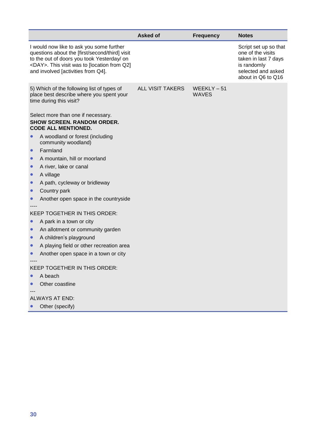|           |                                                                                                                                                                                                                                      | <b>Asked of</b>         | <b>Frequency</b>              | <b>Notes</b>                                                                                                                  |
|-----------|--------------------------------------------------------------------------------------------------------------------------------------------------------------------------------------------------------------------------------------|-------------------------|-------------------------------|-------------------------------------------------------------------------------------------------------------------------------|
|           | I would now like to ask you some further<br>questions about the [first/second/third] visit<br>to the out of doors you took Yesterday/ on<br><day>. This visit was to [location from Q2]<br/>and involved [activities from Q4].</day> |                         |                               | Script set up so that<br>one of the visits<br>taken in last 7 days<br>is randomly<br>selected and asked<br>about in Q6 to Q16 |
|           | 5) Which of the following list of types of<br>place best describe where you spent your<br>time during this visit?                                                                                                                    | <b>ALL VISIT TAKERS</b> | $WEEKLY - 51$<br><b>WAVES</b> |                                                                                                                               |
|           | Select more than one if necessary.<br><b>SHOW SCREEN. RANDOM ORDER.</b><br><b>CODE ALL MENTIONED.</b>                                                                                                                                |                         |                               |                                                                                                                               |
|           | A woodland or forest (including<br>community woodland)                                                                                                                                                                               |                         |                               |                                                                                                                               |
| $\bullet$ | Farmland                                                                                                                                                                                                                             |                         |                               |                                                                                                                               |
| $\bullet$ | A mountain, hill or moorland                                                                                                                                                                                                         |                         |                               |                                                                                                                               |
| $\bullet$ | A river, lake or canal                                                                                                                                                                                                               |                         |                               |                                                                                                                               |
|           | A village                                                                                                                                                                                                                            |                         |                               |                                                                                                                               |
|           | A path, cycleway or bridleway                                                                                                                                                                                                        |                         |                               |                                                                                                                               |
| $\bullet$ | Country park                                                                                                                                                                                                                         |                         |                               |                                                                                                                               |
| $\bullet$ | Another open space in the countryside                                                                                                                                                                                                |                         |                               |                                                                                                                               |
|           | <b>KEEP TOGETHER IN THIS ORDER:</b>                                                                                                                                                                                                  |                         |                               |                                                                                                                               |
| $\bullet$ | A park in a town or city                                                                                                                                                                                                             |                         |                               |                                                                                                                               |
| $\bullet$ | An allotment or community garden                                                                                                                                                                                                     |                         |                               |                                                                                                                               |
| $\bullet$ | A children's playground                                                                                                                                                                                                              |                         |                               |                                                                                                                               |
| $\bullet$ | A playing field or other recreation area                                                                                                                                                                                             |                         |                               |                                                                                                                               |
|           | Another open space in a town or city                                                                                                                                                                                                 |                         |                               |                                                                                                                               |
|           |                                                                                                                                                                                                                                      |                         |                               |                                                                                                                               |
|           | KEEP TOGETHER IN THIS ORDER:                                                                                                                                                                                                         |                         |                               |                                                                                                                               |
|           | A beach                                                                                                                                                                                                                              |                         |                               |                                                                                                                               |
|           | Other coastline                                                                                                                                                                                                                      |                         |                               |                                                                                                                               |
|           | <b>ALWAYS AT END:</b>                                                                                                                                                                                                                |                         |                               |                                                                                                                               |
|           | Other (specify)                                                                                                                                                                                                                      |                         |                               |                                                                                                                               |
|           |                                                                                                                                                                                                                                      |                         |                               |                                                                                                                               |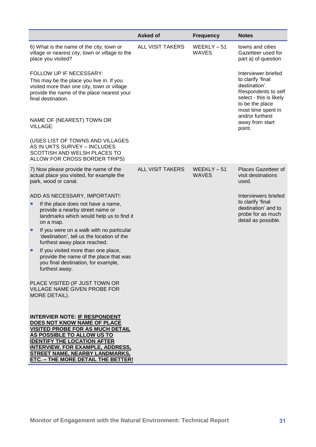|                                                                                                                                                                                                                                                                 | <b>Asked of</b>         | <b>Frequency</b>              | <b>Notes</b>                                                                                                                                                            |
|-----------------------------------------------------------------------------------------------------------------------------------------------------------------------------------------------------------------------------------------------------------------|-------------------------|-------------------------------|-------------------------------------------------------------------------------------------------------------------------------------------------------------------------|
| 6) What is the name of the city, town or<br>village or nearest city, town or village to the<br>place you visited?                                                                                                                                               | <b>ALL VISIT TAKERS</b> | $WEEKLY - 51$<br><b>WAVES</b> | towns and cities<br>Gazetteer used for<br>part a) of question                                                                                                           |
| FOLLOW UP IF NECESSARY:<br>This may be the place you live in. If you<br>visited more than one city, town or village<br>provide the name of the place nearest your<br>final destination.                                                                         |                         |                               | Interviewer briefed<br>to clarify 'final<br>destination'.<br>Respondents to self<br>select - this is likely<br>to be the place<br>most time spent in<br>and/or furthest |
| NAME OF (NEAREST) TOWN OR<br><b>VILLAGE:</b>                                                                                                                                                                                                                    |                         |                               | away from start<br>point.                                                                                                                                               |
| (USES LIST OF TOWNS AND VILLAGES<br>AS IN UKTS SURVEY - INCLUDES<br>SCOTTISH AND WELSH PLACES TO<br>ALLOW FOR CROSS BORDER TRIPS)                                                                                                                               |                         |                               |                                                                                                                                                                         |
| 7) Now please provide the name of the<br>actual place you visited, for example the<br>park, wood or canal.                                                                                                                                                      | <b>ALL VISIT TAKERS</b> | WEEKLY-51<br><b>WAVES</b>     | Places Gazetteer of<br>visit destinations<br>used.                                                                                                                      |
| ADD AS NECESSARY, IMPORTANT!:                                                                                                                                                                                                                                   |                         |                               | Interviewers briefed                                                                                                                                                    |
| If the place does not have a name,<br>provide a nearby street name or<br>landmarks which would help us to find it<br>on a map.                                                                                                                                  |                         |                               | to clarify 'final<br>destination' and to<br>probe for as much<br>detail as possible.                                                                                    |
| If you were on a walk with no particular<br>$\bullet$<br>'destination', tell us the location of the<br>furthest away place reached.                                                                                                                             |                         |                               |                                                                                                                                                                         |
| If you visited more than one place,<br>$\bullet$<br>provide the name of the place that was<br>you final destination, for example,<br>furthest away.                                                                                                             |                         |                               |                                                                                                                                                                         |
| PLACE VISITED (IF JUST TOWN OR<br><b>VILLAGE NAME GIVEN PROBE FOR</b><br>MORE DETAIL).                                                                                                                                                                          |                         |                               |                                                                                                                                                                         |
| <b>INTERVIER NOTE: IF RESPONDENT</b><br>DOES NOT KNOW NAME OF PLACE<br><b>VISITED PROBE FOR AS MUCH DETAIL</b><br>AS POSSIBLE TO ALLOW US TO<br><b>IDENTIFY THE LOCATION AFTER</b><br><b>INTERVIEW, FOR EXAMPLE, ADDRESS,</b><br>STREET NAME, NEARBY LANDMARKS, |                         |                               |                                                                                                                                                                         |
| ETC. - THE MORE DETAIL THE BETTER!                                                                                                                                                                                                                              |                         |                               |                                                                                                                                                                         |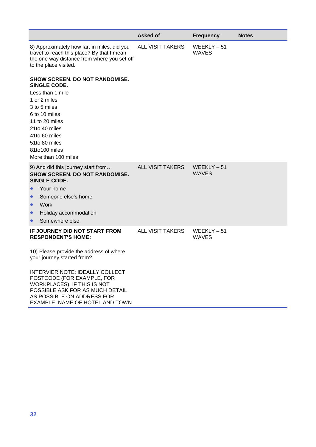|                                                                                                                                                                                                                           | <b>Asked of</b>         | <b>Frequency</b>              | <b>Notes</b> |
|---------------------------------------------------------------------------------------------------------------------------------------------------------------------------------------------------------------------------|-------------------------|-------------------------------|--------------|
| 8) Approximately how far, in miles, did you<br>travel to reach this place? By that I mean<br>the one way distance from where you set off<br>to the place visited.                                                         | <b>ALL VISIT TAKERS</b> | $WEEKLY - 51$<br><b>WAVES</b> |              |
| <b>SHOW SCREEN. DO NOT RANDOMISE.</b><br>SINGLE CODE.<br>Less than 1 mile<br>1 or 2 miles<br>3 to 5 miles<br>6 to 10 miles<br>11 to 20 miles<br>21to 40 miles<br>41to 60 miles                                            |                         |                               |              |
| 51to 80 miles<br>81to100 miles<br>More than 100 miles                                                                                                                                                                     |                         |                               |              |
| 9) And did this journey start from<br><b>SHOW SCREEN. DO NOT RANDOMISE.</b><br>SINGLE CODE.<br>Your home<br>Someone else's home<br>Work<br>$\bullet$<br>Holiday accommodation<br>$\bullet$<br>Somewhere else<br>$\bullet$ | <b>ALL VISIT TAKERS</b> | $WEEKLY - 51$<br><b>WAVES</b> |              |
| IF JOURNEY DID NOT START FROM<br><b>RESPONDENT'S HOME:</b><br>10) Please provide the address of where<br>your journey started from?<br>INTERVIER NOTE: IDEALLY COLLECT                                                    | <b>ALL VISIT TAKERS</b> | $WEEKLY - 51$<br><b>WAVES</b> |              |
| POSTCODE (FOR EXAMPLE, FOR<br>WORKPLACES). IF THIS IS NOT<br>POSSIBLE ASK FOR AS MUCH DETAIL<br>AS POSSIBLE ON ADDRESS FOR<br>EXAMPLE, NAME OF HOTEL AND TOWN.                                                            |                         |                               |              |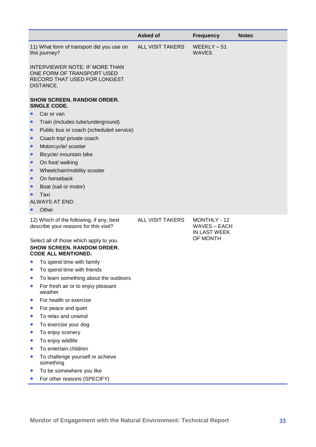|                                                                                                                  | <b>Asked of</b>         | <b>Frequency</b>                                    | <b>Notes</b> |
|------------------------------------------------------------------------------------------------------------------|-------------------------|-----------------------------------------------------|--------------|
| 11) What form of transport did you use on<br>this journey?                                                       | <b>ALL VISIT TAKERS</b> | $WEEKLY - 51$<br><b>WAVES</b>                       |              |
| <b>INTERVIEWER NOTE: IF MORE THAN</b><br>ONE FORM OF TRANSPORT USED<br>RECORD THAT USED FOR LONGEST<br>DISTANCE. |                         |                                                     |              |
| <b>SHOW SCREEN. RANDOM ORDER.</b><br>SINGLE CODE.                                                                |                         |                                                     |              |
| Car or van<br>$\bullet$                                                                                          |                         |                                                     |              |
| Train (includes tube/underground)                                                                                |                         |                                                     |              |
| Public bus or coach (scheduled service)<br>$\bullet$                                                             |                         |                                                     |              |
| Coach trip/ private coach<br>$\bullet$                                                                           |                         |                                                     |              |
| Motorcycle/ scooter<br>$\bullet$                                                                                 |                         |                                                     |              |
| Bicycle/ mountain bike<br>$\bullet$                                                                              |                         |                                                     |              |
| On foot/ walking<br>$\bullet$                                                                                    |                         |                                                     |              |
| Wheelchair/mobility scooter<br>$\bullet$                                                                         |                         |                                                     |              |
| On horseback<br>$\bullet$                                                                                        |                         |                                                     |              |
| Boat (sail or motor)                                                                                             |                         |                                                     |              |
| Taxi                                                                                                             |                         |                                                     |              |
| <b>ALWAYS AT END:</b><br>Other                                                                                   |                         |                                                     |              |
|                                                                                                                  |                         |                                                     |              |
| 12) Which of the following, if any, best<br>describe your reasons for this visit?                                | <b>ALL VISIT TAKERS</b> | MONTHLY - 12<br><b>WAVES - EACH</b><br>IN LAST WEEK |              |
| Select all of those which apply to you.<br><b>SHOW SCREEN. RANDOM ORDER.</b><br><b>CODE ALL MENTIONED.</b>       |                         | OF MONTH                                            |              |
| To spend time with family<br>$\bullet$                                                                           |                         |                                                     |              |
| To spend time with friends                                                                                       |                         |                                                     |              |
| To learn something about the outdoors                                                                            |                         |                                                     |              |
| For fresh air or to enjoy pleasant<br>weather                                                                    |                         |                                                     |              |
| For health or exercise<br>$\bullet$                                                                              |                         |                                                     |              |
| For peace and quiet                                                                                              |                         |                                                     |              |
| To relax and unwind                                                                                              |                         |                                                     |              |
| To exercise your dog<br>$\bullet$                                                                                |                         |                                                     |              |
| To enjoy scenery<br>$\bullet$                                                                                    |                         |                                                     |              |
| To enjoy wildlife                                                                                                |                         |                                                     |              |
| To entertain children                                                                                            |                         |                                                     |              |
| To challenge yourself or achieve<br>$\bullet$<br>something                                                       |                         |                                                     |              |
| To be somewhere you like<br>$\bullet$                                                                            |                         |                                                     |              |
| For other reasons (SPECIFY)                                                                                      |                         |                                                     |              |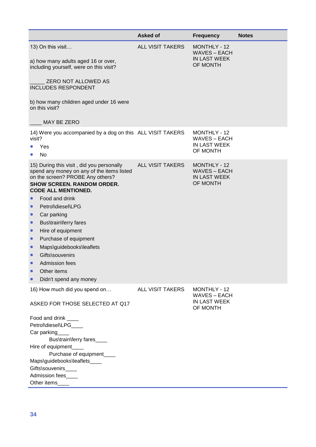|                                                                                                                                                                                                                                                                                                                                                                                                                                                                                                                                               | Asked of                | <b>Frequency</b>                                                       | <b>Notes</b> |
|-----------------------------------------------------------------------------------------------------------------------------------------------------------------------------------------------------------------------------------------------------------------------------------------------------------------------------------------------------------------------------------------------------------------------------------------------------------------------------------------------------------------------------------------------|-------------------------|------------------------------------------------------------------------|--------------|
| 13) On this visit<br>a) how many adults aged 16 or over,<br>including yourself, were on this visit?<br>ZERO NOT ALLOWED AS<br><b>INCLUDES RESPONDENT</b><br>b) how many children aged under 16 were<br>on this visit?<br>MAY BE ZERO                                                                                                                                                                                                                                                                                                          | <b>ALL VISIT TAKERS</b> | MONTHLY - 12<br><b>WAVES - EACH</b><br><b>IN LAST WEEK</b><br>OF MONTH |              |
| 14) Were you accompanied by a dog on this ALL VISIT TAKERS<br>visit?<br>Yes<br><b>No</b>                                                                                                                                                                                                                                                                                                                                                                                                                                                      |                         | MONTHLY - 12<br><b>WAVES - EACH</b><br><b>IN LAST WEEK</b><br>OF MONTH |              |
| 15) During this visit, did you personally<br>spend any money on any of the items listed<br>on the screen? PROBE Any others?<br><b>SHOW SCREEN. RANDOM ORDER.</b><br><b>CODE ALL MENTIONED.</b><br>Food and drink<br>$\bullet$<br>Petrol\diesel\LPG<br>Car parking<br>$\bullet$<br>Bus\train\ferry fares<br>$\bullet$<br>Hire of equipment<br>$\bullet$<br>Purchase of equipment<br>$\bullet$<br>Maps\guidebooks\leaflets<br>$\bullet$<br>Gifts\souvenirs<br>$\bullet$<br>Admission fees<br>$\bullet$<br>Other items<br>Didn't spend any money | ALL VISIT TAKERS        | MONTHLY - 12<br><b>WAVES - EACH</b><br><b>IN LAST WEEK</b><br>OF MONTH |              |
| 16) How much did you spend on<br>ASKED FOR THOSE SELECTED AT Q17<br>Food and drink ____<br>Petrol\diesel\LPG____<br>Car parking<br>Bus\train\ferry fares____<br>Hire of equipment_<br>Purchase of equipment____<br>Maps\guidebooks\leaflets____<br>Gifts\souvenirs____<br><b>Admission fees</b><br>Other items                                                                                                                                                                                                                                | <b>ALL VISIT TAKERS</b> | MONTHLY - 12<br><b>WAVES - EACH</b><br>IN LAST WEEK<br>OF MONTH        |              |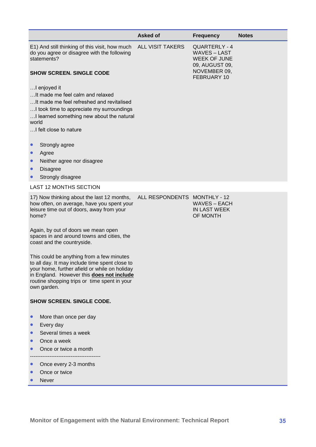|                                                                                                                                                                                                                                                          | <b>Asked of</b>              | <b>Frequency</b>                                                                                           | <b>Notes</b> |
|----------------------------------------------------------------------------------------------------------------------------------------------------------------------------------------------------------------------------------------------------------|------------------------------|------------------------------------------------------------------------------------------------------------|--------------|
| E1) And still thinking of this visit, how much<br>do you agree or disagree with the following<br>statements?<br><b>SHOW SCREEN. SINGLE CODE</b><br>I enjoyed it                                                                                          | <b>ALL VISIT TAKERS</b>      | QUARTERLY - 4<br><b>WAVES-LAST</b><br><b>WEEK OF JUNE</b><br>09, AUGUST 09,<br>NOVEMBER 09,<br>FEBRUARY 10 |              |
| It made me feel calm and relaxed<br>It made me feel refreshed and revitalised<br>I took time to appreciate my surroundings<br>I learned something new about the natural<br>world<br>I felt close to nature                                               |                              |                                                                                                            |              |
| Strongly agree<br>$\bullet$<br>Agree<br>$\bullet$<br>Neither agree nor disagree<br><b>Disagree</b><br>$\bullet$                                                                                                                                          |                              |                                                                                                            |              |
| Strongly disagree                                                                                                                                                                                                                                        |                              |                                                                                                            |              |
| <b>LAST 12 MONTHS SECTION</b><br>17) Now thinking about the last 12 months,                                                                                                                                                                              | ALL RESPONDENTS MONTHLY - 12 |                                                                                                            |              |
| how often, on average, have you spent your<br>leisure time out of doors, away from your<br>home?                                                                                                                                                         |                              | <b>WAVES - EACH</b><br><b>IN LAST WEEK</b><br>OF MONTH                                                     |              |
| Again, by out of doors we mean open<br>spaces in and around towns and cities, the<br>coast and the countryside.                                                                                                                                          |                              |                                                                                                            |              |
| This could be anything from a few minutes<br>to all day. It may include time spent close to<br>your home, further afield or while on holiday<br>in England. However this does not include<br>routine shopping trips or time spent in your<br>own garden. |                              |                                                                                                            |              |
| <b>SHOW SCREEN. SINGLE CODE.</b>                                                                                                                                                                                                                         |                              |                                                                                                            |              |
| More than once per day<br>$\bullet$<br>Every day<br>$\bullet$<br>Several times a week<br>Once a week<br>Once or twice a month                                                                                                                            |                              |                                                                                                            |              |
| Once every 2-3 months<br>Once or twice<br><b>Never</b>                                                                                                                                                                                                   |                              |                                                                                                            |              |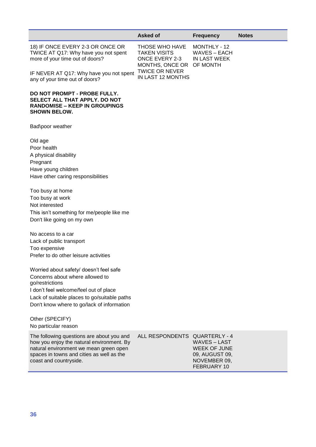|                                                                                                                                                                                                                                       | <b>Asked of</b>                                                                   | <b>Frequency</b>                                                                                                  | <b>Notes</b> |
|---------------------------------------------------------------------------------------------------------------------------------------------------------------------------------------------------------------------------------------|-----------------------------------------------------------------------------------|-------------------------------------------------------------------------------------------------------------------|--------------|
| 18) IF ONCE EVERY 2-3 OR ONCE OR<br>TWICE AT Q17: Why have you not spent<br>more of your time out of doors?                                                                                                                           | THOSE WHO HAVE<br><b>TAKEN VISITS</b><br><b>ONCE EVERY 2-3</b><br>MONTHS, ONCE OR | MONTHLY - 12<br><b>WAVES – EACH</b><br><b>IN LAST WEEK</b><br>OF MONTH                                            |              |
| IF NEVER AT Q17: Why have you not spent<br>any of your time out of doors?                                                                                                                                                             | <b>TWICE OR NEVER</b><br>IN LAST 12 MONTHS                                        |                                                                                                                   |              |
| DO NOT PROMPT - PROBE FULLY.<br>SELECT ALL THAT APPLY. DO NOT<br><b>RANDOMISE – KEEP IN GROUPINGS</b><br><b>SHOWN BELOW.</b>                                                                                                          |                                                                                   |                                                                                                                   |              |
| Bad\poor weather                                                                                                                                                                                                                      |                                                                                   |                                                                                                                   |              |
| Old age<br>Poor health<br>A physical disability<br>Pregnant<br>Have young children<br>Have other caring responsibilities                                                                                                              |                                                                                   |                                                                                                                   |              |
| Too busy at home<br>Too busy at work<br>Not interested<br>This isn't something for me/people like me<br>Don't like going on my own                                                                                                    |                                                                                   |                                                                                                                   |              |
| No access to a car<br>Lack of public transport<br>Too expensive<br>Prefer to do other leisure activities                                                                                                                              |                                                                                   |                                                                                                                   |              |
| Worried about safety/ doesn't feel safe<br>Concerns about where allowed to<br>go/restrictions<br>I don't feel welcome/feel out of place<br>Lack of suitable places to go/suitable paths<br>Don't know where to go/lack of information |                                                                                   |                                                                                                                   |              |
| Other (SPECIFY)<br>No particular reason                                                                                                                                                                                               |                                                                                   |                                                                                                                   |              |
| The following questions are about you and<br>how you enjoy the natural environment. By<br>natural environment we mean green open<br>spaces in towns and cities as well as the<br>coast and countryside.                               | ALL RESPONDENTS                                                                   | <b>QUARTERLY - 4</b><br><b>WAVES-LAST</b><br><b>WEEK OF JUNE</b><br>09, AUGUST 09,<br>NOVEMBER 09,<br>FEBRUARY 10 |              |
|                                                                                                                                                                                                                                       |                                                                                   |                                                                                                                   |              |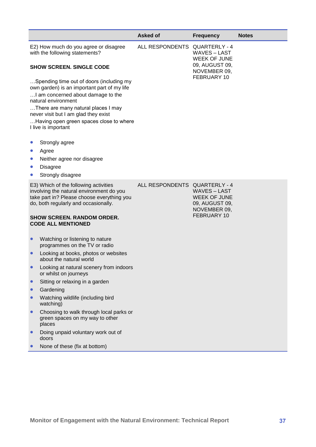|                                                  |                                                                                                                                                                                                                                                                                                       | <b>Asked of</b>               | <b>Frequency</b>                                                                            | <b>Notes</b> |
|--------------------------------------------------|-------------------------------------------------------------------------------------------------------------------------------------------------------------------------------------------------------------------------------------------------------------------------------------------------------|-------------------------------|---------------------------------------------------------------------------------------------|--------------|
|                                                  | E2) How much do you agree or disagree<br>with the following statements?                                                                                                                                                                                                                               | ALL RESPONDENTS QUARTERLY - 4 | <b>WAVES-LAST</b><br><b>WEEK OF JUNE</b><br>09, AUGUST 09,                                  |              |
|                                                  | <b>SHOW SCREEN. SINGLE CODE</b>                                                                                                                                                                                                                                                                       |                               | NOVEMBER 09,                                                                                |              |
|                                                  | Spending time out of doors (including my<br>own garden) is an important part of my life<br>I am concerned about damage to the<br>natural environment<br>There are many natural places I may<br>never visit but I am glad they exist<br>Having open green spaces close to where<br>I live is important |                               | FEBRUARY 10                                                                                 |              |
| $\bullet$<br>$\bullet$<br>$\bullet$<br>$\bullet$ | Strongly agree<br>Agree<br>Neither agree nor disagree<br><b>Disagree</b><br>Strongly disagree                                                                                                                                                                                                         |                               |                                                                                             |              |
|                                                  | E3) Which of the following activities<br>involving the natural environment do you<br>take part in? Please choose everything you<br>do, both regularly and occasionally.<br><b>SHOW SCREEN. RANDOM ORDER.</b>                                                                                          | ALL RESPONDENTS QUARTERLY - 4 | <b>WAVES – LAST</b><br><b>WEEK OF JUNE</b><br>09, AUGUST 09,<br>NOVEMBER 09,<br>FEBRUARY 10 |              |
|                                                  | <b>CODE ALL MENTIONED</b>                                                                                                                                                                                                                                                                             |                               |                                                                                             |              |
| $\bullet$                                        | Watching or listening to nature<br>programmes on the TV or radio                                                                                                                                                                                                                                      |                               |                                                                                             |              |
| $\bullet$                                        | Looking at books, photos or websites<br>about the natural world                                                                                                                                                                                                                                       |                               |                                                                                             |              |
|                                                  | Looking at natural scenery from indoors<br>or whilst on journeys                                                                                                                                                                                                                                      |                               |                                                                                             |              |
| $\bullet$                                        | Sitting or relaxing in a garden                                                                                                                                                                                                                                                                       |                               |                                                                                             |              |
|                                                  | Gardening                                                                                                                                                                                                                                                                                             |                               |                                                                                             |              |
|                                                  | Watching wildlife (including bird<br>watching)                                                                                                                                                                                                                                                        |                               |                                                                                             |              |
|                                                  | Choosing to walk through local parks or<br>green spaces on my way to other<br>places                                                                                                                                                                                                                  |                               |                                                                                             |              |
| $\bullet$                                        | Doing unpaid voluntary work out of<br>doors                                                                                                                                                                                                                                                           |                               |                                                                                             |              |
|                                                  | None of these (fix at bottom)                                                                                                                                                                                                                                                                         |                               |                                                                                             |              |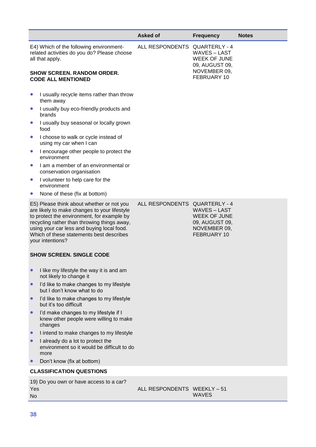|                                                                                                                                                                                                                                                                                                      | Asked of                      | <b>Frequency</b>                                                                            | <b>Notes</b> |
|------------------------------------------------------------------------------------------------------------------------------------------------------------------------------------------------------------------------------------------------------------------------------------------------------|-------------------------------|---------------------------------------------------------------------------------------------|--------------|
| E4) Which of the following environment-<br>related activities do you do? Please choose<br>all that apply.                                                                                                                                                                                            | ALL RESPONDENTS QUARTERLY - 4 | <b>WAVES-LAST</b><br><b>WEEK OF JUNE</b><br>09, AUGUST 09,                                  |              |
| <b>SHOW SCREEN. RANDOM ORDER.</b><br><b>CODE ALL MENTIONED</b>                                                                                                                                                                                                                                       |                               | NOVEMBER 09,<br>FEBRUARY 10                                                                 |              |
| I usually recycle items rather than throw<br>$\bullet$<br>them away                                                                                                                                                                                                                                  |                               |                                                                                             |              |
| I usually buy eco-friendly products and<br>$\bullet$<br>brands                                                                                                                                                                                                                                       |                               |                                                                                             |              |
| I usually buy seasonal or locally grown<br>food                                                                                                                                                                                                                                                      |                               |                                                                                             |              |
| I choose to walk or cycle instead of<br>$\bullet$<br>using my car when I can                                                                                                                                                                                                                         |                               |                                                                                             |              |
| I encourage other people to protect the<br>$\bullet$<br>environment                                                                                                                                                                                                                                  |                               |                                                                                             |              |
| I am a member of an environmental or<br>$\bullet$<br>conservation organisation                                                                                                                                                                                                                       |                               |                                                                                             |              |
| I volunteer to help care for the<br>$\bullet$<br>environment                                                                                                                                                                                                                                         |                               |                                                                                             |              |
| None of these (fix at bottom)                                                                                                                                                                                                                                                                        |                               |                                                                                             |              |
| E5) Please think about whether or not you<br>are likely to make changes to your lifestyle<br>to protect the environment, for example by<br>recycling rather than throwing things away,<br>using your car less and buying local food.<br>Which of these statements best describes<br>your intentions? | ALL RESPONDENTS QUARTERLY - 4 | <b>WAVES – LAST</b><br><b>WEEK OF JUNE</b><br>09, AUGUST 09,<br>NOVEMBER 09,<br>FEBRUARY 10 |              |
| <b>SHOW SCREEN. SINGLE CODE</b>                                                                                                                                                                                                                                                                      |                               |                                                                                             |              |
| I like my lifestyle the way it is and am<br>not likely to change it                                                                                                                                                                                                                                  |                               |                                                                                             |              |
| I'd like to make changes to my lifestyle<br>$\bullet$<br>but I don't know what to do                                                                                                                                                                                                                 |                               |                                                                                             |              |
| I'd like to make changes to my lifestyle<br>$\bullet$<br>but it's too difficult                                                                                                                                                                                                                      |                               |                                                                                             |              |
| I'd make changes to my lifestyle if I<br>knew other people were willing to make<br>changes                                                                                                                                                                                                           |                               |                                                                                             |              |
| I intend to make changes to my lifestyle                                                                                                                                                                                                                                                             |                               |                                                                                             |              |
| I already do a lot to protect the<br>environment so it would be difficult to do<br>more                                                                                                                                                                                                              |                               |                                                                                             |              |
| Don't know (fix at bottom)                                                                                                                                                                                                                                                                           |                               |                                                                                             |              |
| <b>CLASSIFICATION QUESTIONS</b>                                                                                                                                                                                                                                                                      |                               |                                                                                             |              |
| 19) Do you own or have access to a car?<br>Yes<br><b>No</b>                                                                                                                                                                                                                                          | ALL RESPONDENTS WEEKLY-51     | <b>WAVES</b>                                                                                |              |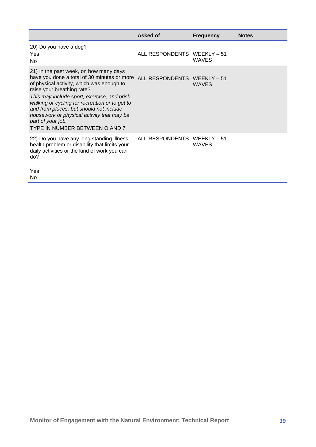|                                                                                                                                                                                                                                                                                                                                                                                                                                               | Asked of                    | <b>Frequency</b> | <b>Notes</b> |
|-----------------------------------------------------------------------------------------------------------------------------------------------------------------------------------------------------------------------------------------------------------------------------------------------------------------------------------------------------------------------------------------------------------------------------------------------|-----------------------------|------------------|--------------|
| 20) Do you have a dog?<br>Yes<br>No                                                                                                                                                                                                                                                                                                                                                                                                           | ALL RESPONDENTS WEEKLY - 51 | <b>WAVES</b>     |              |
| 21) In the past week, on how many days<br>have you done a total of 30 minutes or more ALL RESPONDENTS WEEKLY - 51<br>of physical activity, which was enough to<br>raise your breathing rate?<br>This may include sport, exercise, and brisk<br>walking or cycling for recreation or to get to<br>and from places, but should not include<br>housework or physical activity that may be<br>part of your job.<br>TYPE IN NUMBER BETWEEN O AND 7 |                             | <b>WAVES</b>     |              |
| 22) Do you have any long standing illness,<br>health problem or disability that limits your<br>daily activities or the kind of work you can<br>do?<br>Yes                                                                                                                                                                                                                                                                                     | ALL RESPONDENTS WEEKLY - 51 | <b>WAVES</b>     |              |

No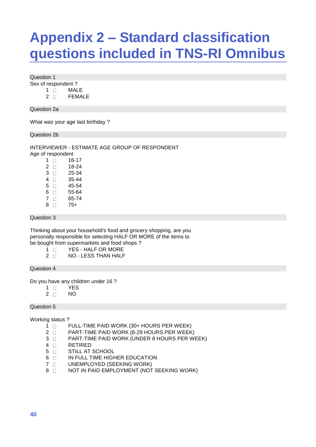# <span id="page-47-0"></span>**Appendix 2 – Standard classification questions included in TNS-RI Omnibus**

Question 1

Sex of respondent ?

1 MALE

2 **FEMALE** 

Question 2a

What was your age last birthday ?

Question 2b

INTERVIEWER - ESTIMATE AGE GROUP OF RESPONDENT

Age of respondent

| 1  | $\mathsf{L}$ | 16-17 |
|----|--------------|-------|
| 2  | П            | 18-24 |
| 3  | $\mathsf{L}$ | 25-34 |
| 4  | П            | 35-44 |
| 5. | П            | 45-54 |
| 6  | П            | 55-64 |
| 7  | П            | 65-74 |
| 8  | П            | 75+   |

Question 3

Thinking about your household's food and grocery shopping, are you personally responsible for selecting HALF OR MORE of the items to be bought from supermarkets and food shops ?

- 1 **N** YES HALF OR MORE
- 2 NO LESS THAN HALF

Question 4

Do you have any children under 16 ?

- 1 T YES
- $2 \cap N$

Question 5

Working status ?

- 1 **FULL-TIME PAID WORK (30+ HOURS PER WEEK)**
- 2 **PART-TIME PAID WORK (8-29 HOURS PER WEEK)**
- 3 **PART-TIME PAID WORK (UNDER 8 HOURS PER WEEK)**
- 4 **RETIRED**
- 5 **STILL AT SCHOOL**
- 6 **IN FULL TIME HIGHER EDUCATION**
- 7 O UNEMPLOYED (SEEKING WORK)
- 8 NOT IN PAID EMPLOYMENT (NOT SEEKING WORK)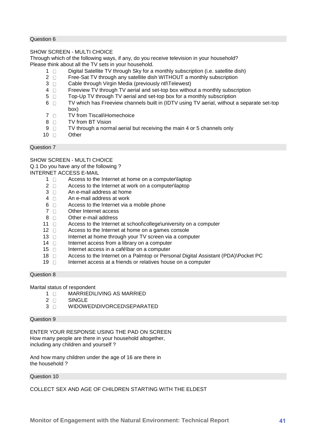#### Question 6

#### SHOW SCREEN - MULTI CHOICE

Through which of the following ways, if any, do you receive television in your household? Please think about all the TV sets in your household.

- 1  $\Box$  Digital Satellite TV through Sky for a monthly subscription (i.e. satellite dish)
- 2 **Free-Sat TV** through any satellite dish WITHOUT a monthly subscription
- 3 Cable through Virgin Media (previously ntl\Telewest)
- 4 **Freeview TV** through TV aerial and set-top box without a monthly subscription
- 5  $\Box$  Top-Up TV through TV aerial and set-top box for a monthly subscription
- 6  $\Box$  TV which has Freeview channels built in (IDTV using TV aerial, without a separate set-top box)
- 7 TV from Tiscali\Homechoice
- 8 **TV** from BT Vision
- 9  $\Box$  TV through a normal aerial but receiving the main 4 or 5 channels only
- 10 Other

#### Question 7

SHOW SCREEN - MULTI CHOICE Q.1 Do you have any of the following ? INTERNET ACCESS E-MAIL

- $1 \Box$  Access to the Internet at home on a computer\laptop
- 2 **Access to the Internet at work on a computer\laptop**
- $3 \cap$  An e-mail address at home
- $4 \cap$  An e-mail address at work
- $6 \Box$  Access to the Internet via a mobile phone
- 7 Other Internet access
- 8 **D** Other e-mail address
- 11 **T** Access to the Internet at school\college\university on a computer
- $12 \quad \Box$  Access to the Internet at home on a games console
- $13 \Box$  Internet at home through your TV screen via a computer
- $14 \quad \Box$  Internet access from a library on a computer
- 15  $\Box$  Internet access in a café\bar on a computer
- 18 **Access to the Internet on a Palmtop or Personal Digital Assistant (PDA)\Pocket PC**
- $19 \Box$  Internet access at a friends or relatives house on a computer

#### Question 8

Marital status of respondent

- $1 \cap$  MARRIED\LIVING AS MARRIED
- 2 **SINGLE**
- 3 N WIDOWED\DIVORCED\SEPARATED

#### Question 9

ENTER YOUR RESPONSE USING THE PAD ON SCREEN How many people are there in your household altogether, including any children and yourself ?

And how many children under the age of 16 are there in the household ?

Question 10

COLLECT SEX AND AGE OF CHILDREN STARTING WITH THE ELDEST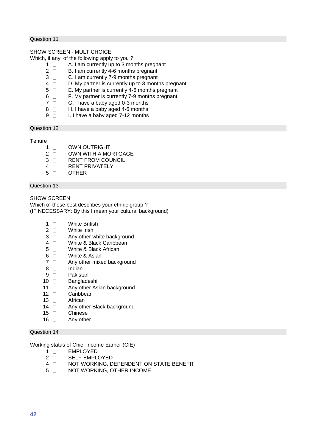#### Question 11

#### SHOW SCREEN - MULTICHOICE

Which, if any, of the following apply to you ?

- $1 \Box$  A. I am currently up to 3 months pregnant
- 2 **B. I am currently 4-6 months pregnant**
- 3 C. I am currently 7-9 months pregnant
- 4 D. My partner is currently up to 3 months pregnant
- 5 E. My partner is currently 4-6 months pregnant
- 6 F. My partner is currently 7-9 months pregnant
- $7 \Box$  G. I have a baby aged 0-3 months
- 8 **H. I have a baby aged 4-6 months**
- 9 **I. I have a baby aged 7-12 months**

#### Question 12

#### **Tenure**

- 1 OWN OUTRIGHT
- 2 **OWN WITH A MORTGAGE**
- 3 **RENT FROM COUNCIL**
- 4 **RENT PRIVATELY**
- 5 OTHER

#### Question 13

SHOW SCREEN

Which of these best describes your ethnic group ? (IF NECESSARY: By this I mean your cultural background)

- 1 White British
- 2 White Irish
- $3 \Box$  Any other white background
- 4 Nhite & Black Caribbean
- 5 White & Black African
- 6 **Mhite & Asian**
- $7 \Box$  Any other mixed background
- $8 \Box$  Indian
- 9 D Pakistani
- 10 **Bangladeshi**
- 11 Any other Asian background
- 12 Caribbean
- 13 African
- 14 **Any other Black background**
- 15 Chinese
- $16$  Any other

#### Question 14

Working status of Chief Income Earner (CIE)

- 1 **EMPLOYED**
- 2 **SELF-EMPLOYED**
- 4 NOT WORKING, DEPENDENT ON STATE BENEFIT
- 5 **NOT WORKING, OTHER INCOME**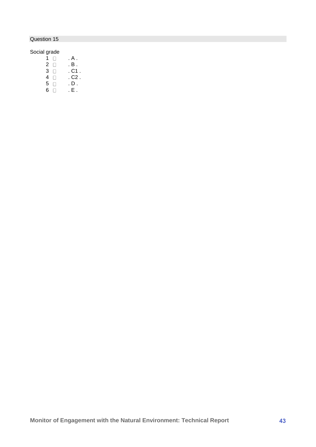## Question 15

### Social grade

- $1 \quad \Box \qquad . A$ .
- $2 \quad \Box \qquad . \quad B$  .
- $\begin{array}{ccc} 3 & \overline{\Box} & \quad .C1 \ . \ 4 & \overline{\Box} & \quad .C2 \ . \end{array}$ 
	- $. C2$ <br> $. D$
- $\begin{array}{ccc} 5 & \ldots \\ 6 & \ldots \end{array}$  . D.  $6$  .  $\Box$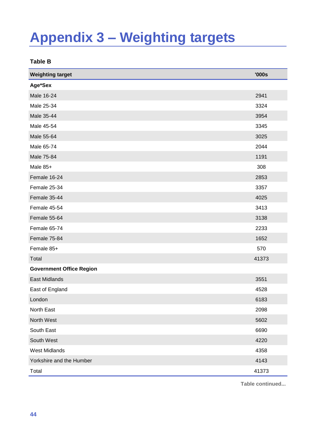# <span id="page-51-0"></span>**Appendix 3 – Weighting targets**

<span id="page-51-1"></span>**Table B**

| <b>Weighting target</b>         | '000s |
|---------------------------------|-------|
| Age*Sex                         |       |
| Male 16-24                      | 2941  |
| Male 25-34                      | 3324  |
| Male 35-44                      | 3954  |
| Male 45-54                      | 3345  |
| Male 55-64                      | 3025  |
| Male 65-74                      | 2044  |
| Male 75-84                      | 1191  |
| Male 85+                        | 308   |
| Female 16-24                    | 2853  |
| Female 25-34                    | 3357  |
| Female 35-44                    | 4025  |
| Female 45-54                    | 3413  |
| Female 55-64                    | 3138  |
| Female 65-74                    | 2233  |
| Female 75-84                    | 1652  |
| Female 85+                      | 570   |
| Total                           | 41373 |
| <b>Government Office Region</b> |       |
| East Midlands                   | 3551  |
| East of England                 | 4528  |
| London                          | 6183  |
| North East                      | 2098  |
| North West                      | 5602  |
| South East                      | 6690  |
| South West                      | 4220  |
| <b>West Midlands</b>            | 4358  |
| Yorkshire and the Humber        | 4143  |
| Total                           | 41373 |

**Table continued...**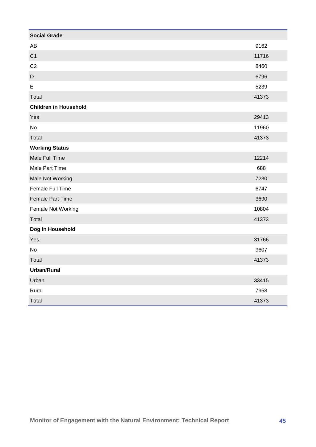| <b>Social Grade</b>          |       |
|------------------------------|-------|
| AB                           | 9162  |
| C <sub>1</sub>               | 11716 |
| C <sub>2</sub>               | 8460  |
| D                            | 6796  |
| E                            | 5239  |
| Total                        | 41373 |
| <b>Children in Household</b> |       |
| Yes                          | 29413 |
| No                           | 11960 |
| Total                        | 41373 |
| <b>Working Status</b>        |       |
| Male Full Time               | 12214 |
| Male Part Time               | 688   |
| Male Not Working             | 7230  |
| Female Full Time             | 6747  |
| Female Part Time             | 3690  |
| Female Not Working           | 10804 |
| Total                        | 41373 |
| Dog in Household             |       |
| Yes                          | 31766 |
| No                           | 9607  |
| Total                        | 41373 |
| <b>Urban/Rural</b>           |       |
| Urban                        | 33415 |
| Rural                        | 7958  |
| Total                        | 41373 |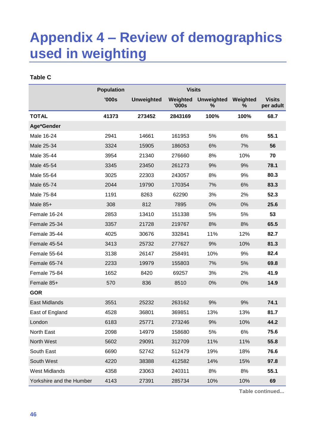# <span id="page-53-0"></span>**Appendix 4 – Review of demographics used in weighting**

### <span id="page-53-1"></span>**Table C**

|                          | <b>Population</b> | <b>Visits</b>     |                   |                        |               |                            |
|--------------------------|-------------------|-------------------|-------------------|------------------------|---------------|----------------------------|
|                          | '000s             | <b>Unweighted</b> | Weighted<br>'000s | <b>Unweighted</b><br>℅ | Weighted<br>% | <b>Visits</b><br>per adult |
| <b>TOTAL</b>             | 41373             | 273452            | 2843169           | 100%                   | 100%          | 68.7                       |
| Age*Gender               |                   |                   |                   |                        |               |                            |
| Male 16-24               | 2941              | 14661             | 161953            | 5%                     | 6%            | 55.1                       |
| Male 25-34               | 3324              | 15905             | 186053            | 6%                     | 7%            | 56                         |
| Male 35-44               | 3954              | 21340             | 276660            | 8%                     | 10%           | 70                         |
| Male 45-54               | 3345              | 23450             | 261273            | 9%                     | 9%            | 78.1                       |
| Male 55-64               | 3025              | 22303             | 243057            | 8%                     | 9%            | 80.3                       |
| Male 65-74               | 2044              | 19790             | 170354            | 7%                     | 6%            | 83.3                       |
| Male 75-84               | 1191              | 8263              | 62290             | 3%                     | 2%            | 52.3                       |
| Male 85+                 | 308               | 812               | 7895              | 0%                     | 0%            | 25.6                       |
| Female 16-24             | 2853              | 13410             | 151338            | 5%                     | 5%            | 53                         |
| Female 25-34             | 3357              | 21728             | 219767            | 8%                     | 8%            | 65.5                       |
| Female 35-44             | 4025              | 30676             | 332841            | 11%                    | 12%           | 82.7                       |
| Female 45-54             | 3413              | 25732             | 277627            | 9%                     | 10%           | 81.3                       |
| Female 55-64             | 3138              | 26147             | 258491            | 10%                    | 9%            | 82.4                       |
| Female 65-74             | 2233              | 19979             | 155803            | 7%                     | 5%            | 69.8                       |
| Female 75-84             | 1652              | 8420              | 69257             | 3%                     | 2%            | 41.9                       |
| Female 85+               | 570               | 836               | 8510              | 0%                     | 0%            | 14.9                       |
| <b>GOR</b>               |                   |                   |                   |                        |               |                            |
| East Midlands            | 3551              | 25232             | 263162            | 9%                     | 9%            | 74.1                       |
| East of England          | 4528              | 36801             | 369851            | 13%                    | 13%           | 81.7                       |
| London                   | 6183              | 25771             | 273246            | 9%                     | 10%           | 44.2                       |
| North East               | 2098              | 14979             | 158680            | 5%                     | 6%            | 75.6                       |
| North West               | 5602              | 29091             | 312709            | 11%                    | 11%           | 55.8                       |
| South East               | 6690              | 52742             | 512479            | 19%                    | 18%           | 76.6                       |
| South West               | 4220              | 38388             | 412582            | 14%                    | 15%           | 97.8                       |
| <b>West Midlands</b>     | 4358              | 23063             | 240311            | 8%                     | 8%            | 55.1                       |
| Yorkshire and the Humber | 4143              | 27391             | 285734            | 10%                    | 10%           | 69                         |

**Table continued...**